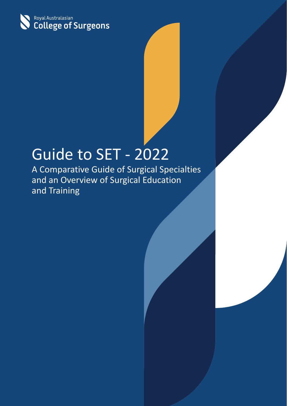

# Guide to SET - 2022

A Comparative Guide of Surgical Specialties and an Overview of Surgical Education and Training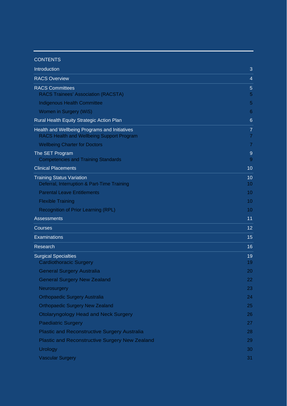# **CONTENTS**

| Introduction                                                                                      | 3                                |
|---------------------------------------------------------------------------------------------------|----------------------------------|
| <b>RACS Overview</b>                                                                              | 4                                |
| <b>RACS Committees</b>                                                                            | 5                                |
| <b>RACS Trainees' Association (RACSTA)</b>                                                        | 5                                |
| <b>Indigenous Health Committee</b>                                                                | 5                                |
| Women in Surgery (WiS)                                                                            | 6                                |
| Rural Health Equity Strategic Action Plan                                                         | $6\phantom{1}6$                  |
| Health and Wellbeing Programs and Initiatives<br><b>RACS Health and Wellbeing Support Program</b> | $\overline{7}$<br>$\overline{7}$ |
| <b>Wellbeing Charter for Doctors</b>                                                              | 7                                |
| The SET Program<br><b>Competencies and Training Standards</b>                                     | 9<br>9                           |
| <b>Clinical Placements</b>                                                                        | 10                               |
| <b>Training Status Variation</b><br>Deferral, Interruption & Part-Time Training                   | 10<br>10                         |
| <b>Parental Leave Entitlements</b>                                                                | 10                               |
| <b>Flexible Training</b>                                                                          | 10                               |
| <b>Recognition of Prior Learning (RPL)</b>                                                        | 10                               |
| <b>Assessments</b>                                                                                | 11                               |
| Courses                                                                                           | 12                               |
| Examinations                                                                                      | 15                               |
| Research                                                                                          | 16                               |
| <b>Surgical Specialties</b>                                                                       | 19                               |
| <b>Cardiothoracic Surgery</b>                                                                     | 19                               |
| <b>General Surgery Australia</b>                                                                  | 20                               |
| <b>General Surgery New Zealand</b>                                                                | 22                               |
| Neurosurgery                                                                                      | 23                               |
| <b>Orthopaedic Surgery Australia</b>                                                              | 24                               |
| <b>Orthopaedic Surgery New Zealand</b>                                                            | 25                               |
| <b>Otolaryngology Head and Neck Surgery</b>                                                       | 26                               |
| <b>Paediatric Surgery</b>                                                                         | 27                               |
| <b>Plastic and Reconstructive Surgery Australia</b>                                               | 28                               |
| <b>Plastic and Reconstructive Surgery New Zealand</b>                                             | 29                               |
| Urology                                                                                           | 30                               |
| <b>Vascular Surgery</b>                                                                           | 31                               |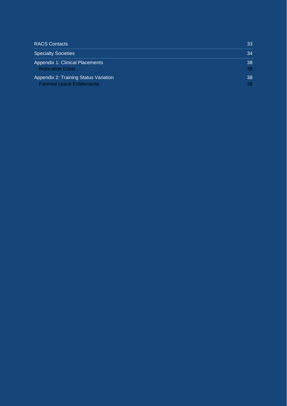| <b>RACS Contacts</b>                   | 33  |
|----------------------------------------|-----|
| <b>Specialty Societies</b>             | 34  |
| <b>Appendix 1: Clinical Placements</b> | 38  |
| <b>Relocation Costs</b>                | 38  |
| Appendix 2: Training Status Variation  | 38  |
| <b>Parental Leave Entitlements</b>     | 38. |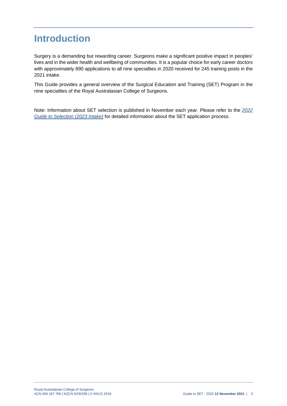# <span id="page-3-0"></span>**Introduction**

Surgery is a demanding but rewarding career. Surgeons make a significant positive impact in peoples' lives and in the wider health and wellbeing of communities. It is a popular choice for early career doctors with approximately 890 applications to all nine specialties in 2020 received for 245 training posts in the 2021 intake.

This Guide provides a general overview of the Surgical Education and Training (SET) Program in the nine specialties of the Royal Australasian College of Surgeons.

Note: Information about SET selection is published in November each year. Please refer to the *[2022](https://www.surgeons.org/become-a-surgeon/how-do-i-become-a-surgeon/set-selection-requirements-process-and-application/specialty-specific-eligibility-criteria-selection-processes/otolaryngology-head-and-neck-surgery-new-zealand)  [Guide to Selection \(2023 Intake\)](https://www.surgeons.org/become-a-surgeon/how-do-i-become-a-surgeon/set-selection-requirements-process-and-application/specialty-specific-eligibility-criteria-selection-processes/otolaryngology-head-and-neck-surgery-new-zealand)* for detailed information about the SET application process.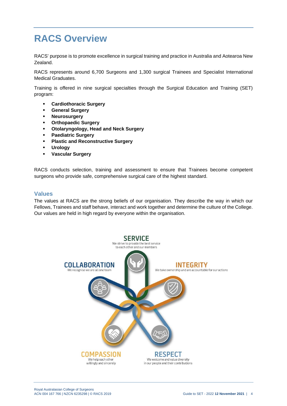# <span id="page-4-0"></span>**RACS Overview**

RACS' purpose is to promote excellence in surgical training and practice in Australia and Aotearoa New Zealand.

RACS represents around 6,700 Surgeons and 1,300 surgical Trainees and Specialist International Medical Graduates.

Training is offered in nine surgical specialties through the Surgical Education and Training (SET) program:

- **Cardiothoracic Surgery**
- **General Surgery**
- **Neurosurgery**
- **Orthopaedic Surgery**
- **Otolaryngology, Head and Neck Surgery**
- **Paediatric Surgery**
- **Plastic and Reconstructive Surgery**
- **Urology**
- **Vascular Surgery**

RACS conducts selection, training and assessment to ensure that Trainees become competent surgeons who provide safe, comprehensive surgical care of the highest standard.

#### **Values**

The values at RACS are the strong beliefs of our organisation. They describe the way in which our Fellows, Trainees and staff behave, interact and work together and determine the culture of the College. Our values are held in high regard by everyone within the organisation.

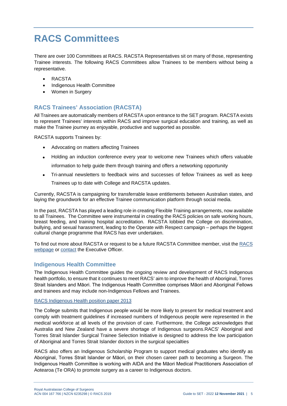# <span id="page-5-0"></span>**RACS Committees**

There are over 100 Committees at RACS. RACSTA Representatives sit on many of those, representing Trainee interests. The following RACS Committees allow Trainees to be members without being a representative.

- RACSTA
- Indigenous Health Committee
- Women in Surgery

# <span id="page-5-1"></span>**RACS Trainees' Association (RACSTA)**

All Trainees are automatically members of RACSTA upon entrance to the SET program. RACSTA exists to represent Trainees' interests within RACS and improve surgical education and training, as well as make the Trainee journey as enjoyable, productive and supported as possible.

RACSTA supports Trainees by:

- Advocating on matters affecting Trainees
- Holding an induction conference every year to welcome new Trainees which offers valuable information to help guide them through training and offers a networking opportunity
- Tri-annual newsletters to feedback wins and successes of fellow Trainees as well as keep Trainees up to date with College and RACSTA updates.

Currently, RACSTA is campaigning for transferrable leave entitlements between Australian states, and laying the groundwork for an effective Trainee communication platform through social media.

In the past, RACSTA has played a leading role in creating Flexible Training arrangements, now available to all Trainees. The Committee were instrumental in creating the RACS policies on safe working hours, breast feeding, and training hospital accreditation. RACSTA lobbied the College on discrimination, bullying, and sexual harassment, leading to the Operate with Respect campaign – perhaps the biggest cultural change programme that RACS has ever undertaken.

To find out more about RACSTA or request to be a future RACSTA Committee member, visit th[e RACS](http://www.surgeons.org/Trainees/%20trainee-association-racsta)  [webpage](http://www.surgeons.org/Trainees/%20trainee-association-racsta) or [contact](mailto:racsta@surgeons.org) the Executive Officer.

# <span id="page-5-2"></span>**Indigenous Health Committee**

The Indigenous Health Committee guides the ongoing review and development of RACS Indigenous health portfolio, to ensure that it continues to meet RACS' aim to improve the health of Aboriginal, Torres Strait Islanders and Māori. The Indigenous Health Committee comprises Māori and Aboriginal Fellows and trainees and may include non-Indigenous Fellows and Trainees.

#### [RACS Indigenous Health position paper 2013](https://www.surgeons.org/-/media/Project/RACS/surgeons-org/files/interest-groups-sections/indigenous-health/RACS-Indigenous-Health-Position-Statment-FINAL-July2020.pdf?rev=f3f6592c396240ff95d1e2181a3f9276&hash=7A6AA309F899C8171491E99489F228AB)

The College submits that Indigenous people would be more likely to present for medical treatment and comply with treatment guidelines if increased numbers of Indigenous people were represented in the medical workforce at all levels of the provision of care. Furthermore, the College acknowledges that Australia and New Zealand have a severe shortage of Indigenous surgeons.RACS' Aboriginal and Torres Strait Islander Surgical Trainee Selection Initiative is designed to address the low participation of Aboriginal and Torres Strait Islander doctors in the surgical specialties

RACS also offers an Indigenous Scholarship Program to support medical graduates who identify as Aboriginal, Torres Strait Islander or Māori, on their chosen career path to becoming a Surgeon. The Indigenous Health Committee is working with AIDA and the Māori Medical Practitioners Association of Aotearoa (Te ORA) to promote surgery as a career to Indigenous doctors.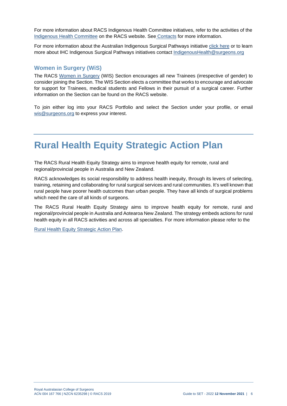For more information about RACS Indigenous Health Committee initiatives, refer to the activities of the [Indigenous Health Committee](https://www.surgeons.org/about-racs/indigenous-health) on the RACS website. See [Contacts](#page-33-0) for more information.

For more information about the Australian Indigenous Surgical Pathways initiative [click here](https://www.surgeons.org/about-racs/indigenous-health/aboriginal-and-torres-strait-islander-health/indigenous-surgical-pathway-program-australia) or to learn more about IHC Indigenous Surgical Pathways initiatives contact [IndigenousHealth@surgeons.org](mailto:IndigenousHealth@surgeons.org)

## <span id="page-6-0"></span>**Women in Surgery (WiS)**

The RACS [Women in Surgery](https://www.surgeons.org/Resources/interest-groups-sections/women-in-surgery) (WIS) Section encourages all new Trainees (irrespective of gender) to consider joining the Section. The WIS Section elects a committee that works to encourage and advocate for support for Trainees, medical students and Fellows in their pursuit of a surgical career. Further information on the Section can be found on the RACS website.

To join either log into your RACS Portfolio and select the Section under your profile, or email [wis@surgeons.org](mailto:wis@surgeons.org) to express your interest.

# <span id="page-6-1"></span>**Rural Health Equity Strategic Action Plan**

The RACS Rural Health Equity Strategy aims to improve health equity for remote, rural and regional/provincial people in Australia and New Zealand.

RACS acknowledges its social responsibility to address health inequity, through its levers of selecting, training, retaining and collaborating for rural surgical services and rural communities. It's well known that rural people have poorer health outcomes than urban people. They have all kinds of surgical problems which need the care of all kinds of surgeons.

The RACS Rural Health Equity Strategy aims to improve health equity for remote, rural and regional/provincial people in Australia and Aotearoa New Zealand. The strategy embeds actions for rural health equity in all RACS activities and across all specialties. For more information please refer to the

[Rural Health Equity Strategic Action Plan.](https://www.surgeons.org/-/media/Project/RACS/surgeons-org/files/interest-groups-sections/Rural-Surgery/RPT-Rural-Health-Equity-Public-FINAL.pdf?rev=1709767dffbd48cda7dbfa3c053c6b58&hash=717809CD51D32CE7F4C927E883515ECE)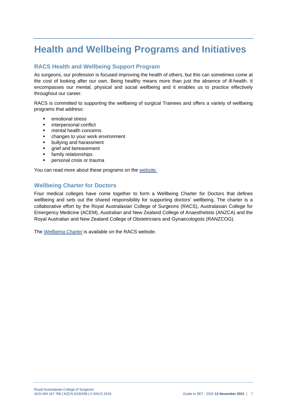# <span id="page-7-0"></span>**Health and Wellbeing Programs and Initiatives**

# <span id="page-7-1"></span>**RACS Health and Wellbeing Support Program**

As surgeons, our profession is focused improving the health of others, but this can sometimes come at the cost of looking after our own. Being healthy means more than just the absence of ill-health. It encompasses our mental, physical and social wellbeing and it enables us to practice effectively throughout our career.

RACS is committed to supporting the wellbeing of surgical Trainees and offers a variety of wellbeing programs that address:

- **EXECUTE:** emotional stress
- **·** interpersonal conflict
- mental health concerns
- changes to your work environment
- **•** bullying and harassment
- grief and bereavement
- family relationships
- **Parage 1 Personal crisis or trauma**

You can read more about these programs on the [website.](https://www.surgeons.org/about-racs/surgeons-wellbeing/racs-support-program)

## <span id="page-7-2"></span>**Wellbeing Charter for Doctors**

Four medical colleges have come together to form a Wellbeing Charter for Doctors that defines wellbeing and sets out the shared responsibility for supporting doctors' wellbeing. The charter is a collaborative effort by the Royal Australasian College of Surgeons (RACS), Australasian College for Emergency Medicine (ACEM), Australian and New Zealand College of Anaesthetists (ANZCA) and the Royal Australian and New Zealand College of Obstetricians and Gynaecologists (RANZCOG).

The *[Wellbeing Charter](https://www.surgeons.org/News/media-releases/medical-colleges-launch-wellbeing-charter-for-doctors)* is available on the RACS website.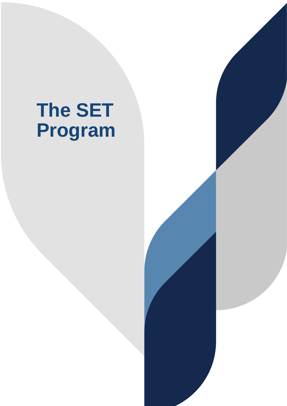# **The SET Program**

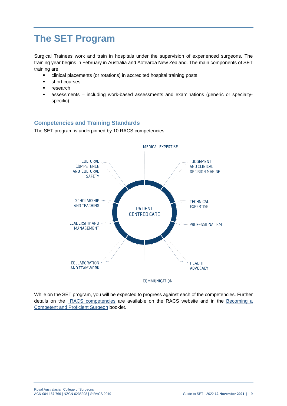# <span id="page-9-0"></span>**The SET Program**

Surgical Trainees work and train in hospitals under the supervision of experienced surgeons. The training year begins in February in Australia and Aotearoa New Zealand. The main components of SET training are:

- clinical placements (or rotations) in accredited hospital training posts
- short courses
- **research**
- assessments including work-based assessments and examinations (generic or specialtyspecific)

# <span id="page-9-1"></span>**Competencies and Training Standards**

The SET program is underpinned by 10 RACS competencies.



While on the SET program, you will be expected to progress against each of the competencies. Further details on the [RACS competencies](https://www.surgeons.org/en/Trainees/the-set-program/racs-competencies) are available on the RACS website and in the [Becoming a](https://www.surgeons.org/resources/reports-guidelines-publications/useful-guides-standards/training-standards-for-surgeons)  [Competent and Proficient Surgeon](https://www.surgeons.org/resources/reports-guidelines-publications/useful-guides-standards/training-standards-for-surgeons) booklet.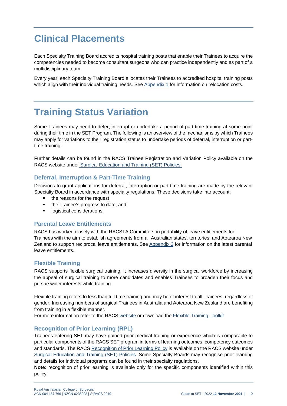# <span id="page-10-0"></span>**Clinical Placements**

Each Specialty Training Board accredits hospital training posts that enable their Trainees to acquire the competencies needed to become consultant surgeons who can practice independently and as part of a multidisciplinary team.

Every year, each Specialty Training Board allocates their Trainees to accredited hospital training posts which align with their individual training needs. See [Appendix 1](#page-38-0) for information on relocation costs.

# <span id="page-10-1"></span>**Training Status Variation**

Some Trainees may need to defer, interrupt or undertake a period of part-time training at some point during their time in the SET Program. The following is an overview of the mechanisms by which Trainees may apply for variations to their registration status to undertake periods of deferral, interruption or parttime training.

Further details can be found in the RACS Trainee Registration and Variation Policy available on the RACS website under [Surgical Education and Training \(SET\) Policies.](https://www.surgeons.org/Trainees/the-set-program)

# <span id="page-10-2"></span>**Deferral, Interruption & Part-Time Training**

Decisions to grant applications for deferral, interruption or part-time training are made by the relevant Specialty Board in accordance with specialty regulations. These decisions take into account:

- the reasons for the request
- the Trainee's progress to date, and
- **Industrian** considerations

# <span id="page-10-3"></span>**Parental Leave Entitlements**

RACS has worked closely with the RACSTA Committee on portability of leave entitlements for Trainees with the aim to establish agreements from all Australian states, territories, and Aotearoa New Zealand to support reciprocal leave entitlements. See [Appendix 2](#page-38-0) for information on the latest parental leave entitlements.

# <span id="page-10-4"></span>**Flexible Training**

RACS supports flexible surgical training. It increases diversity in the surgical workforce by increasing the appeal of surgical training to more candidates and enables Trainees to broaden their focus and pursue wider interests while training.

Flexible training refers to less than full time training and may be of interest to all Trainees, regardless of gender. Increasing numbers of surgical Trainees in Australia and Aotearoa New Zealand are benefiting from training in a flexible manner.

<span id="page-10-5"></span>For more information refer to the RACS [website](https://auth.surgeons.org/Trainees/the-set-program/flexible-training) or download the [Flexible Training Toolkit.](https://auth.surgeons.org/-/media/Project/RACS/surgeons-org/files/operating-with-respectcomplaints/Flexible-training-toolkit.pdf?rev=9d0c93adfb7b4972bf7a099108aa7c9e&hash=EBCCF6A4A5A91FBCD6EE9256AC18367D)

# **Recognition of Prior Learning (RPL)**

Trainees entering SET may have gained prior medical training or experience which is comparable to particular components of the RACS SET program in terms of learning outcomes, competency outcomes and standards. The RAC[S Recognition of Prior Learning Policy](https://www.surgeons.org/-/media/Project/RACS/surgeons-org/files/policies/eta-education-and-training-administration/set-surgical-education-and-training/eta-set-006_recognition_of_prior_learning.pdf?rev=9bdeed53554c40dd97e39891ea114bee&hash=CDCEA1A9A8D421E571BC42CDF0CA1C38) is available on the RACS website under [Surgical Education and Training \(SET\) Policies.](https://www.surgeons.org/Trainees/the-set-program) Some Specialty Boards may recognise prior learning and details for individual programs can be found in their specialty regulations.

**Note:** recognition of prior learning is available only for the specific components identified within this policy.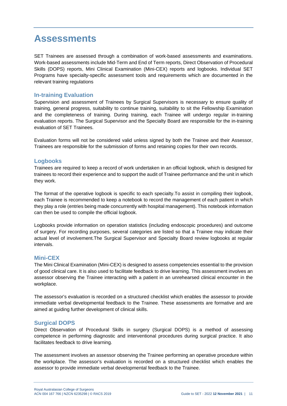# <span id="page-11-0"></span>**Assessments**

SET Trainees are assessed through a combination of work-based assessments and examinations. Work-based assessments include Mid-Term and End of Term reports, Direct Observation of Procedural Skills (DOPS) reports, Mini Clinical Examination (Mini-CEX) reports and logbooks. Individual SET Programs have specialty-specific assessment tools and requirements which are documented in the relevant training regulations

## **In-training Evaluation**

Supervision and assessment of Trainees by Surgical Supervisors is necessary to ensure quality of training, general progress, suitability to continue training, suitability to sit the Fellowship Examination and the completeness of training. During training, each Trainee will undergo regular in-training evaluation reports. The Surgical Supervisor and the Specialty Board are responsible for the in-training evaluation of SET Trainees.

Evaluation forms will not be considered valid unless signed by both the Trainee and their Assessor, Trainees are responsible for the submission of forms and retaining copies for their own records.

## **Logbooks**

Trainees are required to keep a record of work undertaken in an official logbook, which is designed for trainees to record their experience and to support the audit of Trainee performance and the unit in which they work.

The format of the operative logbook is specific to each specialty.To assist in compiling their logbook, each Trainee is recommended to keep a notebook to record the management of each patient in which they play a role (entries being made concurrently with hospital management). This notebook information can then be used to compile the official logbook.

Logbooks provide information on operation statistics (including endoscopic procedures) and outcome of surgery. For recording purposes, several categories are listed so that a Trainee may indicate their actual level of involvement.The Surgical Supervisor and Specialty Board review logbooks at regular intervals.

# **Mini-CEX**

The Mini Clinical Examination (Mini-CEX) is designed to assess competencies essential to the provision of good clinical care. It is also used to facilitate feedback to drive learning. This assessment involves an assessor observing the Trainee interacting with a patient in an unrehearsed clinical encounter in the workplace.

The assessor's evaluation is recorded on a structured checklist which enables the assessor to provide immediate verbal developmental feedback to the Trainee. These assessments are formative and are aimed at guiding further development of clinical skills.

#### **Surgical DOPS**

Direct Observation of Procedural Skills in surgery (Surgical DOPS) is a method of assessing competence in performing diagnostic and interventional procedures during surgical practice. It also facilitates feedback to drive learning.

The assessment involves an assessor observing the Trainee performing an operative procedure within the workplace. The assessor's evaluation is recorded on a structured checklist which enables the assessor to provide immediate verbal developmental feedback to the Trainee.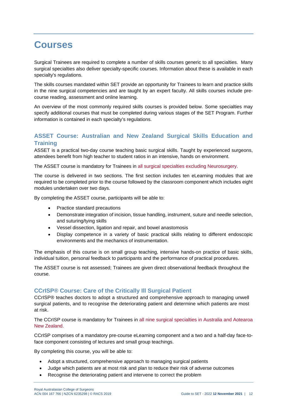# <span id="page-12-0"></span>**Courses**

Surgical Trainees are required to complete a number of skills courses generic to all specialties. Many surgical specialties also deliver specialty-specific courses. Information about these is available in each specialty's regulations.

The skills courses mandated within SET provide an opportunity for Trainees to learn and practice skills in the nine surgical competencies and are taught by an expert faculty. All skills courses include precourse reading, assessment and online learning.

An overview of the most commonly required skills courses is provided below. Some specialties may specify additional courses that must be completed during various stages of the SET Program. Further information is contained in each specialty's regulations.

# **ASSET Course: Australian and New Zealand Surgical Skills Education and Training**

ASSET is a practical two-day course teaching basic surgical skills. Taught by experienced surgeons, attendees benefit from high teacher to student ratios in an intensive, hands on environment.

The ASSET course is mandatory for Trainees in all surgical specialties excluding Neurosurgery.

The course is delivered in two sections. The first section includes ten eLearning modules that are required to be completed prior to the course followed by the classroom component which includes eight modules undertaken over two days.

By completing the ASSET course, participants will be able to:

- Practice standard precautions
- Demonstrate integration of incision, tissue handling, instrument, suture and needle selection, and suturing/tying skills
- Vessel dissection, ligation and repair, and bowel anastomosis
- Display competence in a variety of basic practical skills relating to different endoscopic environments and the mechanics of instrumentation.

The emphasis of this course is on small group teaching, intensive hands-on practice of basic skills, individual tuition, personal feedback to participants and the performance of practical procedures.

The ASSET course is not assessed; Trainees are given direct observational feedback throughout the course.

#### **CCrISP® Course: Care of the Critically Ill Surgical Patient**

CCrISP® teaches doctors to adopt a structured and comprehensive approach to managing unwell surgical patients, and to recognise the deteriorating patient and determine which patients are most at risk.

#### The CCrISP course is mandatory for Trainees in all nine surgical specialties in Australia and Aotearoa New Zealand.

CCrISP comprises of a mandatory pre-course eLearning component and a two and a half-day face-toface component consisting of lectures and small group teachings.

By completing this course, you will be able to:

- Adopt a structured, comprehensive approach to managing surgical patients
- Judge which patients are at most risk and plan to reduce their risk of adverse outcomes
- Recognise the deteriorating patient and intervene to correct the problem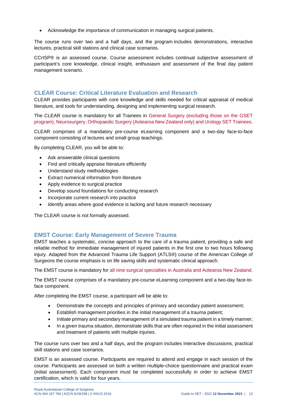• Acknowledge the importance of communication in managing surgical patients.

The course runs over two and a half days, and the program includes demonstrations, interactive lectures, practical skill stations and clinical case scenarios.

CCrISP® is an assessed course. Course assessment includes continual subjective assessment of participant's core knowledge, clinical insight, enthusiasm and assessment of the final day patient management scenario.

#### **CLEAR Course: Critical Literature Evaluation and Research**

CLEAR provides participants with core knowledge and skills needed for critical appraisal of medical literature, and tools for understanding, designing and implementing surgical research.

The CLEAR course is mandatory for all Trainees in General Surgery (excluding those on the GSET program), Neurosurgery, Orthopaedic Surgery (Aotearoa New Zealand only) and Urology SET Trainees.

CLEAR comprises of a mandatory pre-course eLearning component and a two-day face-to-face component consisting of lectures and small group teachings.

By completing CLEAR, you will be able to:

- Ask answerable clinical questions
- Find and critically appraise literature efficiently
- Understand study methodologies
- Extract numerical information from literature
- Apply evidence to surgical practice
- Develop sound foundations for conducting research
- Incorporate current research into practice
- Identify areas where good evidence is lacking and future research necessary

The CLEAR course is not formally assessed.

# **EMST Course: Early Management of Severe Trauma**

EMST teaches a systematic, concise approach to the care of a trauma patient, providing a safe and reliable method for immediate management of injured patients in the first one to two hours following injury. Adapted from the Advanced Trauma Life Support (ATLS®) course of the American College of Surgeons the course emphasis is on life saving skills and systematic clinical approach.

The EMST course is mandatory for all nine surgical specialties in Australia and Aotearoa New Zealand.

The EMST course comprises of a mandatory pre-course eLearning component and a two-day face-toface component.

After completing the EMST course, a participant will be able to:

- Demonstrate the concepts and principles of primary and secondary patient assessment;
- Establish management priorities in the initial management of a trauma patient;
- Initiate primary and secondary management of a simulated trauma patient in a timely manner;
- In a given trauma situation, demonstrate skills that are often required in the initial assessment and treatment of patients with multiple injuries.

The course runs over two and a half days, and the program includes interactive discussions, practical skill stations and case scenarios.

EMST is an assessed course. Participants are required to attend and engage in each session of the course. Participants are assessed on both a written multiple-choice questionnaire and practical exam (initial assessment). Each component must be completed successfully in order to achieve EMST certification, which is valid for four years.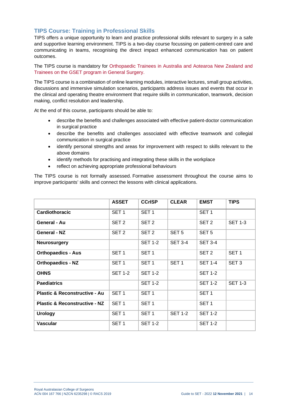# **TIPS Course: Training in Professional Skills**

TIPS offers a unique opportunity to learn and practice professional skills relevant to surgery in a safe and supportive learning environment. TIPS is a two-day course focussing on patient-centred care and communicating in teams, recognising the direct impact enhanced communication has on patient outcomes.

The TIPS course is mandatory for Orthopaedic Trainees in Australia and Aotearoa New Zealand and Trainees on the GSET program in General Surgery.

The TIPS course is a combination of online learning modules, interactive lectures, small group activities, discussions and immersive simulation scenarios, participants address issues and events that occur in the clinical and operating theatre environment that require skills in communication, teamwork, decision making, conflict resolution and leadership.

At the end of this course, participants should be able to:

- describe the benefits and challenges associated with effective patient-doctor communication in surgical practice
- describe the benefits and challenges associated with effective teamwork and collegial communication in surgical practice
- identify personal strengths and areas for improvement with respect to skills relevant to the above domains
- identify methods for practising and integrating these skills in the workplace
- reflect on achieving appropriate professional behaviours

The TIPS course is not formally assessed. Formative assessment throughout the course aims to improve participants' skills and connect the lessons with clinical applications.

|                                          | <b>ASSET</b>     | <b>CCrISP</b>    | <b>CLEAR</b>     | <b>EMST</b>      | <b>TIPS</b>      |
|------------------------------------------|------------------|------------------|------------------|------------------|------------------|
| <b>Cardiothoracic</b>                    | SET <sub>1</sub> | SET <sub>1</sub> |                  | SET <sub>1</sub> |                  |
| General - Au                             | SET <sub>2</sub> | SET <sub>2</sub> |                  | SET <sub>2</sub> | <b>SET 1-3</b>   |
| General - NZ                             | SET <sub>2</sub> | SET <sub>2</sub> | SET <sub>5</sub> | SET <sub>5</sub> |                  |
| <b>Neurosurgery</b>                      |                  | <b>SET 1-2</b>   | <b>SET 3-4</b>   | <b>SET 3-4</b>   |                  |
| <b>Orthopaedics - Aus</b>                | SET <sub>1</sub> | SET <sub>1</sub> |                  | SET <sub>2</sub> | SET <sub>1</sub> |
| <b>Orthopaedics - NZ</b>                 | SET <sub>1</sub> | SET <sub>1</sub> | SET <sub>1</sub> | <b>SET 1-4</b>   | SET <sub>3</sub> |
| <b>OHNS</b>                              | <b>SET 1-2</b>   | <b>SET 1-2</b>   |                  | <b>SET 1-2</b>   |                  |
| <b>Paediatrics</b>                       |                  | <b>SET 1-2</b>   |                  | <b>SET 1-2</b>   | <b>SET 1-3</b>   |
| <b>Plastic &amp; Reconstructive - Au</b> | SET <sub>1</sub> | SET <sub>1</sub> |                  | SET <sub>1</sub> |                  |
| <b>Plastic &amp; Reconstructive - NZ</b> | SET <sub>1</sub> | SET <sub>1</sub> |                  | SET <sub>1</sub> |                  |
| <b>Urology</b>                           | SET <sub>1</sub> | SET <sub>1</sub> | <b>SET 1-2</b>   | <b>SET 1-2</b>   |                  |
| <b>Vascular</b>                          | SET <sub>1</sub> | <b>SET 1-2</b>   |                  | <b>SET 1-2</b>   |                  |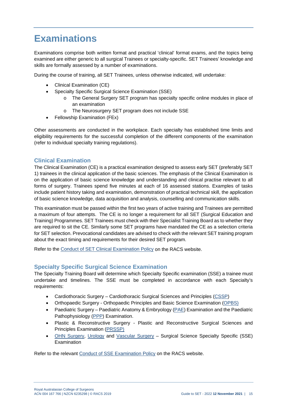# <span id="page-15-0"></span>**Examinations**

Examinations comprise both written format and practical 'clinical' format exams, and the topics being examined are either generic to all surgical Trainees or specialty-specific. SET Trainees' knowledge and skills are formally assessed by a number of examinations.

During the course of training, all SET Trainees, unless otherwise indicated, will undertake:

- Clinical Examination (CE)
- Specialty Specific Surgical Science Examination (SSE)
	- o The General Surgery SET program has specialty specific online modules in place of an examination
	- o The Neurosurgery SET program does not include SSE
- Fellowship Examination (FEx)

Other assessments are conducted in the workplace. Each specialty has established time limits and eligibility requirements for the successful completion of the different components of the examination (refer to individual specialty training regulations).

# **[Clinical Examination](http://www.surgeons.org/becoming-a-surgeon/surgical-education-training/examinations/clinical-examination/)**

The Clinical Examination (CE) is a practical examination designed to assess early SET (preferably SET 1) trainees in the clinical application of the basic sciences. The emphasis of the Clinical Examination is on the application of basic science knowledge and understanding and clinical practise relevant to all forms of surgery. Trainees spend five minutes at each of 16 assessed stations. Examples of tasks include patient history taking and examination, demonstration of practical technical skill, the application of basic science knowledge, data acquisition and analysis, counselling and communication skills.

This examination must be passed within the first two years of active training and Trainees are permitted a maximum of four attempts. The CE is no longer a requirement for all SET (Surgical Education and Training) Programmes. SET Trainees must check with their Specialist Training Board as to whether they are required to sit the CE. Similarly some SET programs have mandated the CE as a selection criteria for SET selection. Prevocational candidates are advised to check with the relevant SET training program about the exact timing and requirements for their desired SET program.

Refer to the [Conduct of SET Clinical Examination Policy](http://www.surgeons.org/policies-publications/policies/examinations-and-assessment/) on the RACS website.

# **Specialty Specific Surgical Science Examination**

The Specialty Training Board will determine which Specialty Specific examination (SSE) a trainee must undertake and timelines. The SSE must be completed in accordance with each Specialty's requirements:

- Cardiothoracic Surgery Cardiothoracic Surgical Sciences and Principles [\(CSSP\)](https://www.surgeons.org/becoming-a-surgeon/surgical-education-training/examinations/specialty-examinations/cssp-examination/)
- Orthopaedic Surgery Orthopaedic Principles and Basic Science Examination [\(OPBS\)](https://www.surgeons.org/becoming-a-surgeon/surgical-education-training/examinations/specialty-examinations/opbs-examination/)
- Paediatric Surgery Paediatric Anatomy & Embryology [\(PAE\)](https://www.surgeons.org/becoming-a-surgeon/surgical-education-training/examinations/specialty-examinations/paediatric-examinations/) Examination and the Paediatric Pathophysiology [\(PPP\)](https://www.surgeons.org/becoming-a-surgeon/surgical-education-training/examinations/specialty-examinations/paediatric-examinations/) Examination.
- Plastic & Reconstructive Surgery Plastic and Reconstructive Surgical Sciences and Principles Examination [\(PRSSP\)](https://www.surgeons.org/becoming-a-surgeon/surgical-education-training/examinations/specialty-examinations/prssp-examination/)
- [OHN Surgery,](https://www.surgeons.org/becoming-a-surgeon/surgical-education-training/examinations/specialty-examinations/sse-in-otolaryngology/) [Urology](https://www.surgeons.org/Examinations/specialty-specific-examinations/urology-sse-in-urology) and [Vascular Surgery](https://www.surgeons.org/Examinations/specialty-specific-examinations/vascular-surgery-sse-in-vascular-surgery) Surgical Science Specialty Specific (SSE) **Examination**

Refer to the relevant Conduct of [SSE Examination Policy](http://www.surgeons.org/policies-publications/policies/examinations-and-assessment/) on the RACS website.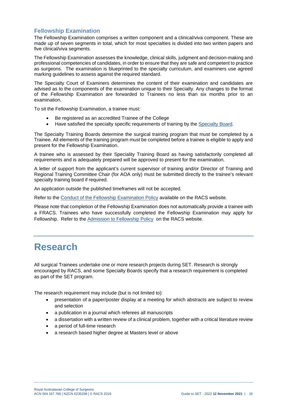# **[Fellowship Examination](http://www.surgeons.org/becoming-a-surgeon/surgical-education-training/examinations/fellowship-examination/)**

The Fellowship Examination comprises a written component and a clinical/viva component. These are made up of seven segments in total, which for most specialties is divided into two written papers and five clinical/viva segments.

The Fellowship Examination assesses the knowledge, clinical skills, judgment and decision-making and professional competencies of candidates, in order to ensure that they are safe and competent to practice as surgeons. The examination is blueprinted to the specialty curriculum, and examiners use agreed marking guidelines to assess against the required standard.

The Specialty Court of Examiners determines the content of their examination and candidates are advised as to the components of the examination unique to their Specialty. Any changes to the format of the Fellowship Examination are forwarded to Trainees no less than six months prior to an examination.

To sit the Fellowship Examination, a trainee must:

- Be registered as an accredited Trainee of the College
- Have satisfied the specialty specific requirements of training by the [Specialty Board.](https://www.surgeons.org/about/governance-committees/committees/education-board/specialty-boards/)

The Specialty Training Boards determine the surgical training program that must be completed by a Trainee. All elements of the training program must be completed before a trainee is eligible to apply and present for the Fellowship Examination.

A trainee who is assessed by their Speciality Training Board as having satisfactorily completed all requirements and is adequately prepared will be approved to present for the examination.

A letter of support from the applicant's current supervisor of training and/or Director of Training and Regional Training Committee Chair (for AOA only) must be submitted directly to the trainee's relevant specialty training board if required.

An application outside the published timeframes will not be accepted.

Refer to the [Conduct of the Fellowship Examination Policy](http://www.surgeons.org/policies-publications/policies/examinations-and-assessment/) available on the RACS website.

Please note that completion of the Fellowship Examination does not automatically provide a trainee with a FRACS. Trainees who have successfully completed the Fellowship Examination may apply for Fellowship. Refer to the [Admission to Fellowship Policy](https://www.surgeons.org/policies-publications/policies/admission-to-fellowship/) on the RACS website.

# <span id="page-16-0"></span>**Research**

All surgical Trainees undertake one or more research projects during SET. Research is strongly encouraged by RACS, and some Specialty Boards specify that a research requirement is completed as part of the SET program.

The research requirement may include (but is not limited to):

- presentation of a paper/poster display at a meeting for which abstracts are subject to review and selection
- a publication in a journal which referees all manuscripts
- a dissertation with a written review of a clinical problem, together with a critical literature review
- a period of full-time research
- a research based higher degree at Masters level or above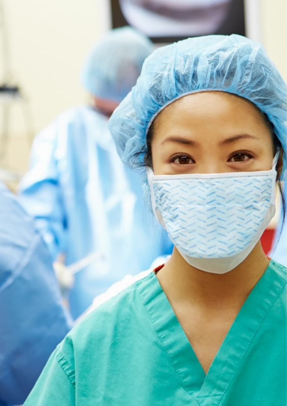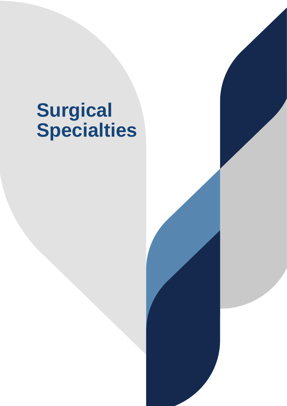# **Surgical Specialties**

ACN 004 167 766 | NZCN 6235298 | © RACS 2019 Guide to SET - 2022 **12 November 2021** | 18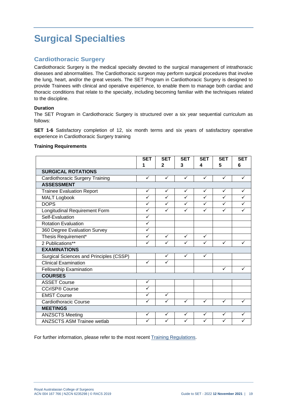# <span id="page-19-0"></span>**Surgical Specialties**

# <span id="page-19-1"></span>**Cardiothoracic Surgery**

Cardiothoracic Surgery is the medical specialty devoted to the surgical management of intrathoracic diseases and abnormalities. The Cardiothoracic surgeon may perform surgical procedures that involve the lung, heart, and/or the great vessels. The SET Program in Cardiothoracic Surgery is designed to provide Trainees with clinical and operative experience, to enable them to manage both cardiac and thoracic conditions that relate to the specialty, including becoming familiar with the techniques related to the discipline.

#### **Duration**

The SET Program in Cardiothoracic Surgery is structured over a six year sequential curriculum as follows:

**SET 1-6** Satisfactory completion of 12, six month terms and six years of satisfactory operative experience in Cardiothoracic Surgery training

#### **Training Requirements**

|                                         | <b>SET</b>   | <b>SET</b>   | <b>SET</b>   | <b>SET</b>   | <b>SET</b>   | <b>SET</b>   |
|-----------------------------------------|--------------|--------------|--------------|--------------|--------------|--------------|
|                                         | 1            | $\mathbf{2}$ | 3            | 4            | 5            | 6            |
| <b>SURGICAL ROTATIONS</b>               |              |              |              |              |              |              |
| Cardiothoracic Surgery Training         | $\checkmark$ | $\checkmark$ | $\checkmark$ | $\checkmark$ | $\checkmark$ | $\checkmark$ |
| <b>ASSESSMENT</b>                       |              |              |              |              |              |              |
| <b>Trainee Evaluation Report</b>        | ✓            | ✓            | $\checkmark$ | $\checkmark$ | $\checkmark$ | $\checkmark$ |
| <b>MALT Logbook</b>                     | ✓            | $\checkmark$ | ✓            | $\checkmark$ | $\checkmark$ | $\checkmark$ |
| <b>DOPS</b>                             | ✓            | ✓            | $\checkmark$ | ✓            | ✓            | $\checkmark$ |
| Longitudinal Requirement Form           | $\checkmark$ | ✓            | ✓            | $\checkmark$ | ✓            | $\checkmark$ |
| Self-Evaluation                         | $\checkmark$ |              |              |              |              |              |
| <b>Rotation Evaluation</b>              | $\checkmark$ |              |              |              |              |              |
| 360 Degree Evaluation Survey            | ✓            |              |              |              |              |              |
| Thesis Requirement*                     | $\checkmark$ | $\checkmark$ | $\checkmark$ | $\checkmark$ |              |              |
| 2 Publications**                        | $\checkmark$ | ✓            | ✓            | ✓            | $\checkmark$ | $\checkmark$ |
| <b>EXAMINATIONS</b>                     |              |              |              |              |              |              |
| Surgical Sciences and Principles (CSSP) |              | $\checkmark$ | $\checkmark$ | $\checkmark$ |              |              |
| <b>Clinical Examination</b>             | $\checkmark$ | $\checkmark$ |              |              |              |              |
| Fellowship Examination                  |              |              |              |              | $\checkmark$ | $\checkmark$ |
| <b>COURSES</b>                          |              |              |              |              |              |              |
| <b>ASSET Course</b>                     | $\checkmark$ |              |              |              |              |              |
| <b>CCrISP® Course</b>                   | ✓            |              |              |              |              |              |
| <b>EMST Course</b>                      | ✓            | ✓            |              |              |              |              |
| <b>Cardiothoracic Course</b>            | ✓            | ✓            | ✓            | $\checkmark$ | $\checkmark$ | $\checkmark$ |
| <b>MEETINGS</b>                         |              |              |              |              |              |              |
| <b>ANZSCTS Meeting</b>                  | $\checkmark$ | $\checkmark$ | $\checkmark$ | $\checkmark$ | $\checkmark$ | $\checkmark$ |
| <b>ANZSCTS ASM Trainee wetlab</b>       | ✓            | ✓            | ✓            | $\checkmark$ | ✓            | ✓            |

For further information, please refer to the most recent [Training Regulations.](https://www.surgeons.org/-/media/Project/RACS/surgeons-org/files/becoming-a-surgeon-trainees/cardiothoracic-surgery/cardiothoracic-set-program-regulations.pdf?rev=7f4703414fe646948ae8a21066c10122)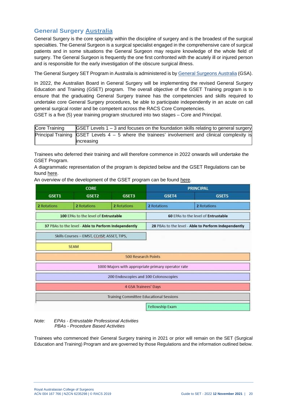# <span id="page-20-0"></span>**General Surgery Australia**

General Surgery is the core specialty within the discipline of surgery and is the broadest of the surgical specialties. The General Surgeon is a surgical specialist engaged in the comprehensive care of surgical patients and in some situations the General Surgeon may require knowledge of the whole field of surgery. The General Surgeon is frequently the one first confronted with the acutely ill or injured person and is responsible for the early investigation of the obscure surgical illness.

The General Surgery SET Program in Australia is administered is by [General Surgeons Australia](http://www.generalsurgeons.com.au/education-and-training) (GSA).

In 2022, the Australian Board in General Surgery will be implementing the revised General Surgery Education and Training (GSET) program. The overall objective of the GSET Training program is to ensure that the graduating General Surgery trainee has the competencies and skills required to undertake core General Surgery procedures, be able to participate independently in an acute on call general surgical roster and be competent across the RACS Core Competencies.

GSET is a five (5) year training program structured into two stages – Core and Principal.

| Core Training | GSET Levels $1 - 3$ and focuses on the foundation skills relating to general surgery              |
|---------------|---------------------------------------------------------------------------------------------------|
|               | Principal Training GSET Levels $4 - 5$ where the trainees' involvement and clinical complexity is |
|               | increasing                                                                                        |

Trainees who deferred their training and will therefore commence in 2022 onwards will undertake the GSET Program.

A diagrammatic representation of the program is depicted below and the GSET Regulations can be found [here.](https://www.generalsurgeons.com.au/media/files/Education%20and%20Training/GSET/REG%202020-11-16%20-%20Final.pdf)

An overview of the development of the GSET program can be found [here.](https://www.generalsurgeons.com.au/media/files/Education%20and%20Training/GSET/DOC%202019-10-22%20Process%20Overview-%20Supplementary%20Doc.pdf)

|             | <b>CORE</b>                                          |             | <b>PRINCIPAL</b>                                   |                                                      |  |
|-------------|------------------------------------------------------|-------------|----------------------------------------------------|------------------------------------------------------|--|
| GSET1       | GSET2                                                | GSET3       | GSET4                                              | GSET5                                                |  |
| 2 Rotations | 2 Rotations                                          | 2 Rotations | 2 Rotations                                        | 2 Rotations                                          |  |
|             | 100 EPAs to the level of Entrustable                 |             |                                                    | 60 EPAs to the level of Entrustable                  |  |
|             | 37 PBAs to the level - Able to Perform Independently |             |                                                    | 28 PBAs to the level - Able to Perform Independently |  |
|             | Skills Courses - EMST, CCrISP, ASSET, TIPS,          |             |                                                    |                                                      |  |
|             | <b>SEAM</b>                                          |             |                                                    |                                                      |  |
|             |                                                      |             | <b>500 Research Points</b>                         |                                                      |  |
|             |                                                      |             | 1000 Majors with appropriate primary operator rate |                                                      |  |
|             |                                                      |             | 200 Endoscopies and 100 Colonoscopies              |                                                      |  |
|             |                                                      |             | 4 GSA Trainees' Days                               |                                                      |  |
|             |                                                      |             | <b>Training Committee Educational Sessions</b>     |                                                      |  |
|             |                                                      |             | Fellowship Exam                                    |                                                      |  |

*Note: EPAs - Entrustable Professional Activities PBAs - Procedure Based Activities*

Trainees who commenced their General Surgery training in 2021 or prior will remain on the SET (Surgical Education and Training) Program and are governed by those Regulations and the information outlined below.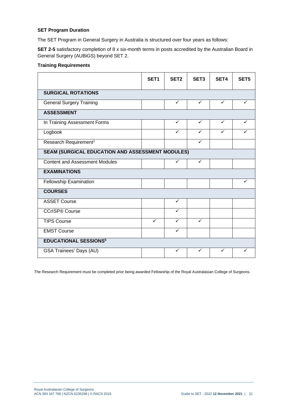#### **SET Program Duration**

The SET Program in General Surgery in Australia is structured over four years as follows:

**SET 2-5** satisfactory completion of 8 x six-month terms in posts accredited by the Australian Board in General Surgery (AUBiGS) beyond SET 2.

#### **Training Requirements**

| SET <sub>1</sub>                                        | SET <sub>2</sub> | SET <sub>3</sub> | SET4         | SET <sub>5</sub> |  |  |  |  |  |
|---------------------------------------------------------|------------------|------------------|--------------|------------------|--|--|--|--|--|
| <b>SURGICAL ROTATIONS</b>                               |                  |                  |              |                  |  |  |  |  |  |
|                                                         | $\checkmark$     | $\checkmark$     | $\checkmark$ | ✓                |  |  |  |  |  |
|                                                         |                  |                  |              |                  |  |  |  |  |  |
|                                                         | $\checkmark$     | $\checkmark$     | $\checkmark$ | ✓                |  |  |  |  |  |
|                                                         | $\checkmark$     | $\checkmark$     | $\checkmark$ | ✓                |  |  |  |  |  |
|                                                         |                  | $\checkmark$     |              |                  |  |  |  |  |  |
| <b>SEAM (SURGICAL EDUCATION AND ASSESSMENT MODULES)</b> |                  |                  |              |                  |  |  |  |  |  |
|                                                         | $\checkmark$     | $\checkmark$     |              |                  |  |  |  |  |  |
|                                                         |                  |                  |              |                  |  |  |  |  |  |
|                                                         |                  |                  |              | $\checkmark$     |  |  |  |  |  |
|                                                         |                  |                  |              |                  |  |  |  |  |  |
|                                                         | $\checkmark$     |                  |              |                  |  |  |  |  |  |
|                                                         | $\checkmark$     |                  |              |                  |  |  |  |  |  |
| $\checkmark$                                            | $\checkmark$     | $\checkmark$     |              |                  |  |  |  |  |  |
|                                                         | $\checkmark$     |                  |              |                  |  |  |  |  |  |
| <b>EDUCATIONAL SESSIONS<sup>5</sup></b>                 |                  |                  |              |                  |  |  |  |  |  |
|                                                         | $\checkmark$     | ✓                | ✓            | ✓                |  |  |  |  |  |
|                                                         |                  |                  |              |                  |  |  |  |  |  |

The Research Requirement must be completed prior being awarded Fellowship of the Royal Australasian College of Surgeons.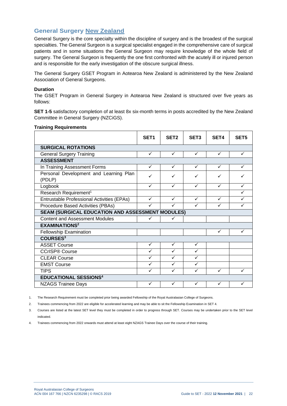# <span id="page-22-0"></span>**General Surgery New Zealand**

General Surgery is the core specialty within the discipline of surgery and is the broadest of the surgical specialties. The General Surgeon is a surgical specialist engaged in the comprehensive care of surgical patients and in some situations the General Surgeon may require knowledge of the whole field of surgery. The General Surgeon is frequently the one first confronted with the acutely ill or injured person and is responsible for the early investigation of the obscure surgical illness.

The General Surgery GSET Program in Aotearoa New Zealand is administered by the New Zealand Association of General Surgeons.

#### **Duration**

The GSET Program in General Surgery in Aotearoa New Zealand is structured over five years as follows:

**SET 1-5** satisfactory completion of at least 8x six-month terms in posts accredited by the New Zealand Committee in General Surgery (NZCiGS).

#### **Training Requirements**

|                                                         | SET <sub>1</sub> | SET <sub>2</sub> | SET <sub>3</sub> | SET4         | SET <sub>5</sub> |
|---------------------------------------------------------|------------------|------------------|------------------|--------------|------------------|
| <b>SURGICAL ROTATIONS</b>                               |                  |                  |                  |              |                  |
| <b>General Surgery Training</b>                         | $\checkmark$     | $\checkmark$     | $\checkmark$     | $\checkmark$ | $\checkmark$     |
| <b>ASSESSMENT</b>                                       |                  |                  |                  |              |                  |
| In Training Assessment Forms                            | $\checkmark$     | $\checkmark$     | $\checkmark$     | $\checkmark$ | ✓                |
| Personal Development and Learning Plan<br>(PDLP)        | ✓                | ✓                | ✓                | ✓            |                  |
| Logbook                                                 | ✓                | $\checkmark$     | $\checkmark$     | $\checkmark$ | ✓                |
| Research Requirement <sup>1</sup>                       |                  |                  |                  |              |                  |
| <b>Entrustable Professional Activities (EPAs)</b>       | $\checkmark$     | ✓                | ✓                | ✓            | ✓                |
| Procedure Based Activities (PBAs)                       | ✓                | ✓                | ✓                | ✓            |                  |
| <b>SEAM (SURGICAL EDUCATION AND ASSESSMENT MODULES)</b> |                  |                  |                  |              |                  |
| <b>Content and Assessment Modules</b>                   | ✓                | ✓                |                  |              |                  |
| <b>EXAMINATIONS2</b>                                    |                  |                  |                  |              |                  |
| Fellowship Examination                                  |                  |                  |                  | $\checkmark$ | $\checkmark$     |
| <b>COURSES3</b>                                         |                  |                  |                  |              |                  |
| <b>ASSET Course</b>                                     | $\checkmark$     | $\checkmark$     | ✓                |              |                  |
| <b>CCrISP® Course</b>                                   | ✓                | ✓                | ✓                |              |                  |
| <b>CLEAR Course</b>                                     | ✓                | ✓                | ✓                |              |                  |
| <b>EMST Course</b>                                      | ✓                | ✓                | ✓                |              |                  |
| <b>TIPS</b>                                             | ✓                | ✓                | ✓                | ✓            | ✓                |
| <b>EDUCATIONAL SESSIONS4</b>                            |                  |                  |                  |              |                  |
| <b>NZAGS Trainee Days</b>                               | ✓                | ✓                | ✓                | ✓            | ✓                |

1. The Research Requirement must be completed prior being awarded Fellowship of the Royal Australasian College of Surgeons.

2. Trainees commencing from 2022 are eligible for accelerated learning and may be able to sit the Fellowship Examination in SET 4.

3. Courses are listed at the latest SET level they must be completed in order to progress through SET. Courses may be undertaken prior to the SET level indicated.

4. Trainees commencing from 2022 onwards must attend at least eight NZAGS Trainee Days over the course of their training.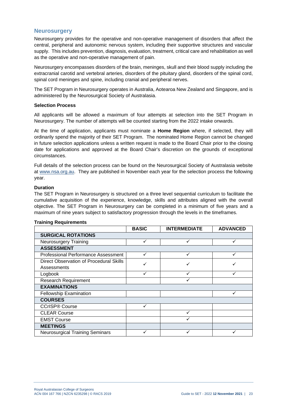### <span id="page-23-0"></span>**Neurosurgery**

Neurosurgery provides for the operative and non-operative management of disorders that affect the central, peripheral and autonomic nervous system, including their supportive structures and vascular supply. This includes prevention, diagnosis, evaluation, treatment, critical care and rehabilitation as well as the operative and non-operative management of pain.

Neurosurgery encompasses disorders of the brain, meninges, skull and their blood supply including the extracranial carotid and vertebral arteries, disorders of the pituitary gland, disorders of the spinal cord, spinal cord meninges and spine, including cranial and peripheral nerves.

The SET Program in Neurosurgery operates in Australia, Aotearoa New Zealand and Singapore, and is administered by the Neurosurgical Society of Australasia.

#### **Selection Process**

All applicants will be allowed a maximum of four attempts at selection into the SET Program in Neurosurgery. The number of attempts will be counted starting from the 2022 intake onwards.

At the time of application, applicants must nominate a **Home Region** where, if selected, they will ordinarily spend the majority of their SET Program. The nominated Home Region cannot be changed in future selection applications unless a written request is made to the Board Chair prior to the closing date for applications and approved at the Board Chair's discretion on the grounds of exceptional circumstances.

Full details of the selection process can be found on the Neurosurgical Society of Australasia website at [www.nsa.org.au.](http://www.nsa.org.au/) They are published in November each year for the selection process the following year.

#### **Duration**

The SET Program in Neurosurgery is structured on a three level sequential curriculum to facilitate the cumulative acquisition of the experience, knowledge, skills and attributes aligned with the overall objective. The SET Program in Neurosurgery can be completed in a minimum of five years and a maximum of nine years subject to satisfactory progression through the levels in the timeframes.

|                                            | <b>BASIC</b> | <b>INTERMEDIATE</b> | <b>ADVANCED</b> |
|--------------------------------------------|--------------|---------------------|-----------------|
| <b>SURGICAL ROTATIONS</b>                  |              |                     |                 |
| <b>Neurosurgery Training</b>               |              |                     |                 |
| <b>ASSESSMENT</b>                          |              |                     |                 |
| <b>Professional Performance Assessment</b> |              |                     |                 |
| Direct Observation of Procedural Skills    |              |                     |                 |
| Assessments                                |              |                     |                 |
| Logbook                                    |              |                     |                 |
| <b>Research Requirement</b>                |              |                     |                 |
| <b>EXAMINATIONS</b>                        |              |                     |                 |
| Fellowship Examination                     |              |                     |                 |
| <b>COURSES</b>                             |              |                     |                 |
| <b>CCrISP® Course</b>                      |              |                     |                 |
| <b>CLEAR Course</b>                        |              |                     |                 |
| <b>EMST Course</b>                         |              |                     |                 |
| <b>MEETINGS</b>                            |              |                     |                 |
| <b>Neurosurgical Training Seminars</b>     |              |                     |                 |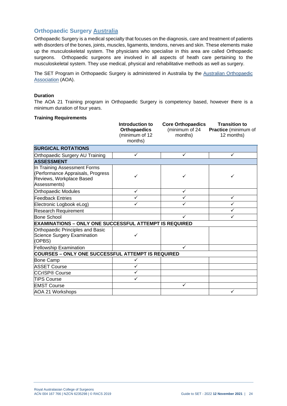# <span id="page-24-0"></span>**Orthopaedic Surgery Australia**

Orthopaedic Surgery is a medical specialty that focuses on the diagnosis, care and treatment of patients with disorders of the bones, joints, muscles, ligaments, tendons, nerves and skin. These elements make up the musculoskeletal system. The physicians who specialise in this area are called Orthopaedic surgeons. Orthopaedic surgeons are involved in all aspects of heath care pertaining to the musculoskeletal system. They use medical, physical and rehabilitative methods as well as surgery.

The SET Program in Orthopaedic Surgery is administered in Australia by the Australian Orthopaedic [Association](https://www.aoa.org.au/login?ReturnUrl=https://www.aoa.org.au:443/orthopaedic-training) (AOA).

#### **Duration**

The AOA 21 Training program in Orthopaedic Surgery is competency based, however there is a minimum duration of four years.

|                                                                                                               | Introduction to<br><b>Orthopaedics</b><br>(minimum of 12<br>months) | <b>Core Orthopaedics</b><br>(minimum of 24<br>months) | <b>Transition to</b><br>Practice (minimum of<br>12 months) |
|---------------------------------------------------------------------------------------------------------------|---------------------------------------------------------------------|-------------------------------------------------------|------------------------------------------------------------|
| <b>SURGICAL ROTATIONS</b>                                                                                     |                                                                     |                                                       |                                                            |
| Orthopaedic Surgery AU Training                                                                               | ✓                                                                   | ✓                                                     | ✓                                                          |
| <b>ASSESSMENT</b>                                                                                             |                                                                     |                                                       |                                                            |
| In Training Assessment Forms<br>(Performance Appraisals, Progress<br>Reviews, Workplace Based<br>Assessments) |                                                                     | ✓                                                     | ✓                                                          |
| <b>Orthopaedic Modules</b>                                                                                    | ✓                                                                   | $\checkmark$                                          |                                                            |
| <b>Feedback Entries</b>                                                                                       | ✓                                                                   | ✓                                                     | $\checkmark$                                               |
| Electronic Logbook eLog)                                                                                      | ✓                                                                   | ✓                                                     | ✓                                                          |
| <b>Research Requirement</b>                                                                                   |                                                                     |                                                       | ✓                                                          |
| <b>Bone School</b>                                                                                            |                                                                     | $\checkmark$                                          | ✓                                                          |
| <b>EXAMINATIONS - ONLY ONE SUCCESSFUL ATTEMPT IS REQUIRED</b>                                                 |                                                                     |                                                       |                                                            |
| Orthopaedic Principles and Basic<br><b>Science Surgery Examination</b><br>(OPBS)                              | ✓                                                                   |                                                       |                                                            |
| <b>Fellowship Examination</b>                                                                                 |                                                                     | ✓                                                     |                                                            |
| <b>COURSES – ONLY ONE SUCCESSFUL ATTEMPT IS REQUIRED</b>                                                      |                                                                     |                                                       |                                                            |
| <b>Bone Camp</b>                                                                                              | ✓                                                                   |                                                       |                                                            |
| <b>ASSET Course</b>                                                                                           | $\checkmark$                                                        |                                                       |                                                            |
| CCrISP <sup>®</sup> Course                                                                                    | ✓                                                                   |                                                       |                                                            |
| <b>TiPS Course</b>                                                                                            | ✓                                                                   |                                                       |                                                            |
| <b>EMST Course</b>                                                                                            |                                                                     | ✓                                                     |                                                            |
| <b>AOA 21 Workshops</b>                                                                                       |                                                                     |                                                       | ✓                                                          |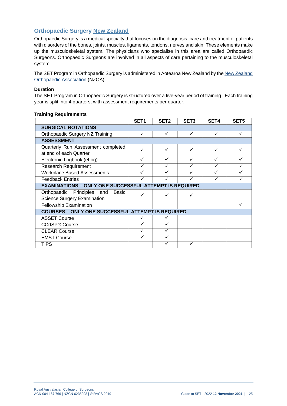# <span id="page-25-0"></span>**Orthopaedic Surgery New Zealand**

Orthopaedic Surgery is a medical specialty that focuses on the diagnosis, care and treatment of patients with disorders of the bones, joints, muscles, ligaments, tendons, nerves and skin. These elements make up the musculoskeletal system. The physicians who specialise in this area are called Orthopaedic Surgeons. Orthopaedic Surgeons are involved in all aspects of care pertaining to the musculoskeletal system.

The SET Program in Orthopaedic Surgery is administered in Aotearoa New Zealand by the New Zealand [Orthopaedic Association](http://www.nzoa.org.nz/how-become-orthopaedic-surgeon) (NZOA).

#### **Duration**

The SET Program in Orthopaedic Surgery is structured over a five-year period of training. Each training year is split into 4 quarters, with assessment requirements per quarter.

|                                                               | SET <sub>1</sub> | SET <sub>2</sub> | SET <sub>3</sub> | SET4 | SET <sub>5</sub> |
|---------------------------------------------------------------|------------------|------------------|------------------|------|------------------|
| <b>SURGICAL ROTATIONS</b>                                     |                  |                  |                  |      |                  |
| <b>Orthopaedic Surgery NZ Training</b>                        |                  |                  | ✓                |      |                  |
| <b>ASSESSMENT</b>                                             |                  |                  |                  |      |                  |
| Quarterly Run Assessment completed                            | ✓                | ✓                | ✓                | ✓    |                  |
| at end of each Quarter                                        |                  |                  |                  |      |                  |
| Electronic Logbook (eLog)                                     |                  | ✓                | ✓                | ✓    |                  |
| <b>Research Requirement</b>                                   | ✓                | ✓                |                  |      |                  |
| <b>Workplace Based Assessments</b>                            | ✓                |                  |                  | ✓    |                  |
| <b>Feedback Entries</b>                                       |                  |                  |                  |      |                  |
| <b>EXAMINATIONS - ONLY ONE SUCCESSFUL ATTEMPT IS REQUIRED</b> |                  |                  |                  |      |                  |
| Orthopaedic Principles and<br>Basic                           |                  | ✓                | ✓                |      |                  |
| <b>Science Surgery Examination</b>                            |                  |                  |                  |      |                  |
| Fellowship Examination                                        |                  |                  |                  |      | ✓                |
| <b>COURSES - ONLY ONE SUCCESSFUL ATTEMPT IS REQUIRED</b>      |                  |                  |                  |      |                  |
| <b>ASSET Course</b>                                           |                  |                  |                  |      |                  |
| <b>CCrISP® Course</b>                                         |                  |                  |                  |      |                  |
| <b>CLEAR Course</b>                                           | ✓                | ✓                |                  |      |                  |
| <b>EMST Course</b>                                            |                  |                  |                  |      |                  |
| TIPS                                                          |                  |                  | ✓                |      |                  |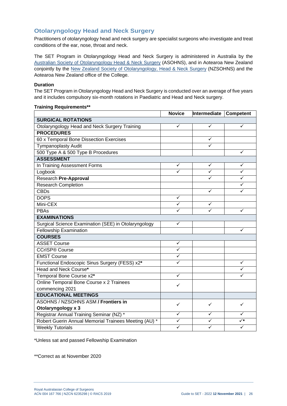# <span id="page-26-0"></span>**Otolaryngology Head and Neck Surgery**

Practitioners of otolaryngology head and neck surgery are specialist surgeons who investigate and treat conditions of the ear, nose, throat and neck.

The SET Program in Otolaryngology Head and Neck Surgery is administered in Australia by the [Australian Society of Otolaryngology Head & Neck Surgery](http://www.asohns.org.au/trainees/surgical-education-and-training-in-otolaryngology-head-and-neck-surgery) (ASOHNS), and in Aotearoa New Zealand conjointly by the [New Zealand Society of Otolaryngology, Head & Neck Surgery](https://www.orl.org.nz/about/surgical-education-training/) (NZSOHNS) and the Aotearoa New Zealand office of the College.

#### **Duration**

The SET Program in Otolaryngology Head and Neck Surgery is conducted over an average of five years and it includes compulsory six-month rotations in Paediatric and Head and Neck surgery.

|                                                       | <b>Novice</b> | Intermediate | <b>Competent</b> |  |  |  |  |
|-------------------------------------------------------|---------------|--------------|------------------|--|--|--|--|
| <b>SURGICAL ROTATIONS</b>                             |               |              |                  |  |  |  |  |
| Otolaryngology Head and Neck Surgery Training         | ✓             | ✓            | ✓                |  |  |  |  |
| <b>PROCEDURES</b>                                     |               |              |                  |  |  |  |  |
| 60 x Temporal Bone Dissection Exercises               |               | ✓            |                  |  |  |  |  |
| <b>Tympanoplasty Audit</b>                            |               | $\checkmark$ |                  |  |  |  |  |
| 500 Type A & 500 Type B Procedures                    |               |              | ✓                |  |  |  |  |
| <b>ASSESSMENT</b>                                     |               |              |                  |  |  |  |  |
| In Training Assessment Forms                          | ✓             | ✓            | ✓                |  |  |  |  |
| Logbook                                               | ✓             | ✓            |                  |  |  |  |  |
| Research Pre-Approval                                 |               | ✓            |                  |  |  |  |  |
| <b>Research Completion</b>                            |               |              | ✓                |  |  |  |  |
| <b>CBDs</b>                                           |               | ✓            | ✓                |  |  |  |  |
| <b>DOPS</b>                                           | ✓             |              |                  |  |  |  |  |
| Mini-CEX                                              | ✓             | ✓            |                  |  |  |  |  |
| <b>PBAs</b>                                           | ✓             |              | ✓                |  |  |  |  |
| <b>EXAMINATIONS</b>                                   |               |              |                  |  |  |  |  |
| Surgical Science Examination (SEE) in Otolaryngology  | ✓             |              |                  |  |  |  |  |
| <b>Fellowship Examination</b>                         |               |              | ✓                |  |  |  |  |
| <b>COURSES</b>                                        |               |              |                  |  |  |  |  |
| <b>ASSET Course</b>                                   | $\checkmark$  |              |                  |  |  |  |  |
| <b>CCrISP® Course</b>                                 | ✓             |              |                  |  |  |  |  |
| <b>EMST Course</b>                                    | ✓             |              |                  |  |  |  |  |
| Functional Endoscopic Sinus Surgery (FESS) x2*        | ✓             |              | ✓                |  |  |  |  |
| Head and Neck Course*                                 |               |              |                  |  |  |  |  |
| Temporal Bone Course x2*                              | ✓             |              | ✓                |  |  |  |  |
| Online Temporal Bone Course x 2 Trainees              | ✓             |              |                  |  |  |  |  |
| commencing 2021                                       |               |              |                  |  |  |  |  |
| <b>EDUCATIONAL MEETINGS</b>                           |               |              |                  |  |  |  |  |
| ASOHNS / NZSOHNS ASM / Frontiers in                   | ✓             | ✓            | ✓                |  |  |  |  |
| Otolaryngology x 3                                    |               |              |                  |  |  |  |  |
| Registrar Annual Training Seminar (NZ) *              | ✓             | ✓            | ✓                |  |  |  |  |
| Robert Guerin Annual Memorial Trainees Meeting (AU) * | ✓             | ✓            | ✓∗               |  |  |  |  |
| <b>Weekly Tutorials</b>                               | ✓             | ✓            | ✓                |  |  |  |  |

#### **Training Requirements\*\***

\*Unless sat and passed Fellowship Examination

\*\*Correct as at November 2020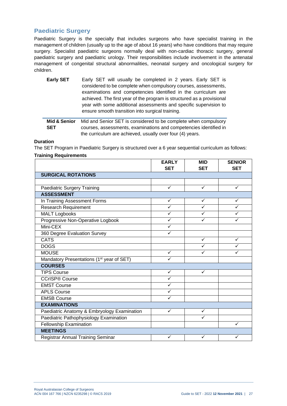# <span id="page-27-0"></span>**Paediatric Surgery**

Paediatric Surgery is the specialty that includes surgeons who have specialist training in the management of children (usually up to the age of about 16 years) who have conditions that may require surgery. Specialist paediatric surgeons normally deal with non-cardiac thoracic surgery, general paediatric surgery and paediatric urology. Their responsibilities include involvement in the antenatal management of congenital structural abnormalities, neonatal surgery and oncological surgery for children.

| Early SET will usually be completed in 2 years. Early SET is           |
|------------------------------------------------------------------------|
| considered to be complete when compulsory courses, assessments,        |
| examinations and competencies identified in the curriculum are         |
| achieved. The first year of the program is structured as a provisional |
| year with some additional assessments and specific supervision to      |
|                                                                        |
|                                                                        |

| <b>Mid &amp; Senior</b> | Mid and Senior SET is considered to be complete when compulsory   |
|-------------------------|-------------------------------------------------------------------|
| <b>SET</b>              | courses, assessments, examinations and competencies identified in |
|                         | the curriculum are achieved, usually over four (4) years.         |

#### **Duration**

The SET Program in Paediatric Surgery is structured over a 6 year sequential curriculum as follows:

|                                                       | <b>EARLY</b><br><b>SET</b> | <b>MID</b><br><b>SET</b> | <b>SENIOR</b><br><b>SET</b> |
|-------------------------------------------------------|----------------------------|--------------------------|-----------------------------|
| <b>SURGICAL ROTATIONS</b>                             |                            |                          |                             |
|                                                       |                            |                          |                             |
| Paediatric Surgery Training                           | $\checkmark$               | $\checkmark$             | $\checkmark$                |
| <b>ASSESSMENT</b>                                     |                            |                          |                             |
| In Training Assessment Forms                          | $\checkmark$               | ✓                        | ✓                           |
| <b>Research Requirement</b>                           | ✓                          | ✓                        | ✓                           |
| <b>MALT Logbooks</b>                                  | ✓                          | ✓                        |                             |
| Progressive Non-Operative Logbook                     | ✓                          |                          | ✓                           |
| Mini-CEX                                              | ✓                          |                          |                             |
| 360 Degree Evaluation Survey                          | ✓                          |                          |                             |
| <b>CATS</b>                                           |                            | ✓                        | ✓                           |
| <b>DOGS</b>                                           |                            | ✓                        |                             |
| <b>MOUSE</b>                                          | $\checkmark$               | ✓                        |                             |
| Mandatory Presentations (1 <sup>st</sup> year of SET) | ✓                          |                          |                             |
| <b>COURSES</b>                                        |                            |                          |                             |
| <b>TIPS Course</b>                                    | $\checkmark$               | ✓                        |                             |
| <b>CCrISP® Course</b>                                 | ✓                          |                          |                             |
| <b>EMST Course</b>                                    | ✓                          |                          |                             |
| <b>APLS Course</b>                                    | ✓                          |                          |                             |
| <b>EMSB Course</b>                                    | ✓                          |                          |                             |
| <b>EXAMINATIONS</b>                                   |                            |                          |                             |
| Paediatric Anatomy & Embryology Examination           | $\checkmark$               | ✓                        |                             |
| Paediatric Pathophysiology Examination                |                            | ✓                        |                             |
| <b>Fellowship Examination</b>                         |                            |                          | ✓                           |
| <b>MEETINGS</b>                                       |                            |                          |                             |
| <b>Registrar Annual Training Seminar</b>              | ✓                          | $\checkmark$             | ✓                           |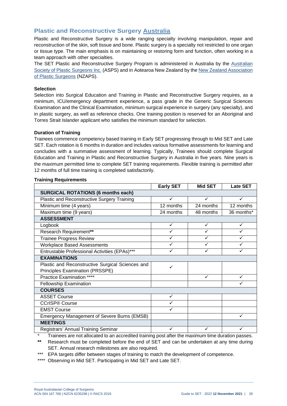# <span id="page-28-0"></span>**Plastic and Reconstructive Surgery Australia**

Plastic and Reconstructive Surgery is a wide ranging specialty involving manipulation, repair and reconstruction of the skin, soft tissue and bone. Plastic surgery is a specialty not restricted to one organ or tissue type. The main emphasis is on maintaining or restoring form and function, often working in a team approach with other specialties.

The SET Plastic and Reconstructive Surgery Program is administered in Australia by the [Australian](http://www.plasticsurgery.org.au/)  [Society of Plastic Surgeons Inc.](http://www.plasticsurgery.org.au/) (ASPS) and in Aotearoa New Zealand by the [New Zealand Association](http://plasticsurgery.org.nz/)  [of Plastic Surgeons](http://plasticsurgery.org.nz/) (NZAPS).

#### **Selection**

Selection into Surgical Education and Training in Plastic and Reconstructive Surgery requires, as a minimum, ICU/emergency department experience, a pass grade in the Generic Surgical Sciences Examination and the Clinical Examination, minimum surgical experience in surgery (any specialty), and in plastic surgery, as well as reference checks. One training position is reserved for an Aboriginal and Torres Strait Islander applicant who satisfies the minimum standard for selection.

#### **Duration of Training**

Trainees commence competency based training in Early SET progressing through to Mid SET and Late SET. Each rotation is 6 months in duration and includes various formative assessments for learning and concludes with a summative assessment of learning. Typically, Trainees should complete Surgical Education and Training in Plastic and Reconstructive Surgery in Australia in five years. Nine years is the maximum permitted time to complete SET training requirements. Flexible training is permitted after 12 months of full time training is completed satisfactorily.

|                                                    | <b>Early SET</b> | <b>Mid SET</b> | <b>Late SET</b> |  |  |  |
|----------------------------------------------------|------------------|----------------|-----------------|--|--|--|
| <b>SURGICAL ROTATIONS (6 months each)</b>          |                  |                |                 |  |  |  |
| Plastic and Reconstructive Surgery Training        | $\checkmark$     | $\checkmark$   | ✓               |  |  |  |
| Minimum time (4 years)                             | 12 months        | 24 months      | 12 months       |  |  |  |
| Maximum time (9 years)                             | 24 months        | 48 months      | 36 months*      |  |  |  |
| <b>ASSESSMENT</b>                                  |                  |                |                 |  |  |  |
| Logbook                                            | ✓                | ✓              | ✓               |  |  |  |
| Research Requirement**                             | ✓                |                |                 |  |  |  |
| <b>Trainee Progress Review</b>                     |                  |                |                 |  |  |  |
| <b>Workplace Based Assessments</b>                 | ✓                |                |                 |  |  |  |
| Entrustable Professional Activities (EPAs)***      | $\checkmark$     | ✓              | ✓               |  |  |  |
| <b>EXAMINATIONS</b>                                |                  |                |                 |  |  |  |
| Plastic and Reconstructive Surgical Sciences and   | ✓                |                |                 |  |  |  |
| Principles Examination (PRSSPE)                    |                  |                |                 |  |  |  |
| Practice Examination ****                          |                  | ✓              |                 |  |  |  |
| <b>Fellowship Examination</b>                      |                  |                |                 |  |  |  |
| <b>COURSES</b>                                     |                  |                |                 |  |  |  |
| <b>ASSET Course</b>                                | ✓                |                |                 |  |  |  |
| <b>CCrISP® Course</b>                              |                  |                |                 |  |  |  |
| <b>EMST Course</b>                                 |                  |                |                 |  |  |  |
| <b>Emergency Management of Severe Burns (EMSB)</b> |                  |                |                 |  |  |  |
| <b>MEETINGS</b>                                    |                  |                |                 |  |  |  |
| Registrars' Annual Training Seminar                |                  |                |                 |  |  |  |

#### **Training Requirements**

Trainees are not allocated to an accredited training post after the maximum time duration passes.

**\*\*** Research must be completed before the end of SET and can be undertaken at any time during SET. Annual research milestones are also required.

EPA targets differ between stages of training to match the development of competence.

\*\*\*\* Observing in Mid SET. Participating in Mid SET and Late SET.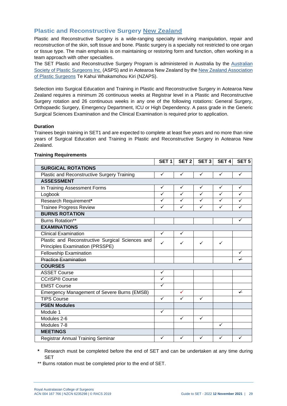# <span id="page-29-0"></span>**Plastic and Reconstructive Surgery New Zealand**

Plastic and Reconstructive Surgery is a wide-ranging specialty involving manipulation, repair and reconstruction of the skin, soft tissue and bone. Plastic surgery is a specialty not restricted to one organ or tissue type. The main emphasis is on maintaining or restoring form and function, often working in a team approach with other specialties.

The SET Plastic and Reconstructive Surgery Program is administered in Australia by the [Australian](http://www.plasticsurgery.org.au/)  [Society of Plastic Surgeons Inc.](http://www.plasticsurgery.org.au/) (ASPS) and in Aotearoa New Zealand by the [New Zealand Association](http://plasticsurgery.org.nz/)  [of Plastic Surgeons](http://plasticsurgery.org.nz/) Te Kahui Whakamohou Kiri (NZAPS).

Selection into Surgical Education and Training in Plastic and Reconstructive Surgery in Aotearoa New Zealand requires a minimum 26 continuous weeks at Registrar level in a Plastic and Reconstructive Surgery rotation and 26 continuous weeks in any one of the following rotations: General Surgery, Orthopaedic Surgery, Emergency Department, ICU or High Dependency. A pass grade in the Generic Surgical Sciences Examination and the Clinical Examination is required prior to application.

#### **Duration**

Trainees begin training in SET1 and are expected to complete at least five years and no more than nine years of Surgical Education and Training in Plastic and Reconstructive Surgery in Aotearoa New Zealand.

|                                                  | SET <sub>1</sub> | SET <sub>2</sub> | SET <sub>3</sub> | SET <sub>4</sub> | SET <sub>5</sub> |
|--------------------------------------------------|------------------|------------------|------------------|------------------|------------------|
| <b>SURGICAL ROTATIONS</b>                        |                  |                  |                  |                  |                  |
| Plastic and Reconstructive Surgery Training      | $\checkmark$     | $\checkmark$     | $\checkmark$     | $\checkmark$     | $\checkmark$     |
| <b>ASSESSMENT</b>                                |                  |                  |                  |                  |                  |
| In Training Assessment Forms                     | ✓                | $\checkmark$     | $\checkmark$     | $\checkmark$     | $\checkmark$     |
| Logbook                                          | $\checkmark$     | $\checkmark$     | $\checkmark$     | $\checkmark$     | $\checkmark$     |
| Research Requirement*                            | $\checkmark$     | $\checkmark$     | ✓                | ✓                | $\checkmark$     |
| <b>Trainee Progress Review</b>                   | $\checkmark$     | $\checkmark$     | $\checkmark$     | ✓                | $\checkmark$     |
| <b>BURNS ROTATION</b>                            |                  |                  |                  |                  |                  |
| <b>Burns Rotation**</b>                          |                  |                  |                  |                  | $\checkmark$     |
| <b>EXAMINATIONS</b>                              |                  |                  |                  |                  |                  |
| <b>Clinical Examination</b>                      | $\checkmark$     | $\checkmark$     |                  |                  |                  |
| Plastic and Reconstructive Surgical Sciences and | $\checkmark$     | ✓                | ✓                | ✓                |                  |
| Principles Examination (PRSSPE)                  |                  |                  |                  |                  |                  |
| <b>Fellowship Examination</b>                    |                  |                  |                  |                  | ✓                |
| <b>Practice Examination</b>                      |                  |                  |                  |                  | ✔                |
| <b>COURSES</b>                                   |                  |                  |                  |                  |                  |
| <b>ASSET Course</b>                              | $\checkmark$     |                  |                  |                  |                  |
| <b>CCrISP® Course</b>                            | $\checkmark$     |                  |                  |                  |                  |
| <b>EMST Course</b>                               | $\checkmark$     |                  |                  |                  |                  |
| Emergency Management of Severe Burns (EMSB)      |                  | $\checkmark$     |                  |                  | $\checkmark$     |
| <b>TIPS Course</b>                               | ✓                | $\checkmark$     | $\checkmark$     |                  |                  |
| <b>PSEN Modules</b>                              |                  |                  |                  |                  |                  |
| Module 1                                         | $\checkmark$     |                  |                  |                  |                  |
| Modules 2-6                                      |                  | $\checkmark$     | ✓                |                  |                  |
| Modules 7-8                                      |                  |                  |                  | $\checkmark$     |                  |
| <b>MEETINGS</b>                                  |                  |                  |                  |                  |                  |
| Registrar Annual Training Seminar                | $\checkmark$     | ✓                | ✓                | ✓                | ✓                |

- **\*** Research must be completed before the end of SET and can be undertaken at any time during **SFT**
- \*\* Burns rotation must be completed prior to the end of SET.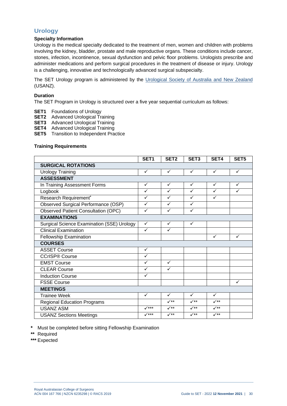# <span id="page-30-0"></span>**Urology**

#### **Specialty Information**

Urology is the medical specialty dedicated to the treatment of men, women and children with problems involving the kidney, bladder, prostate and male reproductive organs. These conditions include cancer, stones, infection, incontinence, sexual dysfunction and pelvic floor problems. Urologists prescribe and administer medications and perform surgical procedures in the treatment of disease or injury. Urology is a challenging, innovative and technologically advanced surgical subspecialty.

The SET Urology program is administered by the [Urological Society of Australia and New Zealand](http://www.usanz.org.au/overview/) (USANZ).

#### **Duration**

The SET Program in Urology is structured over a five year sequential curriculum as follows:

- **SET1** Foundations of Urology
- **SET2** Advanced Urological Training
- **SET3** Advanced Urological Training
- **SET4** Advanced Urological Training
- **SET5** Transition to Independent Practice

#### **Training Requirements**

|                                                   | SET <sub>1</sub> | SET <sub>2</sub> | SET <sub>3</sub> | SET4         | SET <sub>5</sub> |
|---------------------------------------------------|------------------|------------------|------------------|--------------|------------------|
| <b>SURGICAL ROTATIONS</b>                         |                  |                  |                  |              |                  |
| <b>Urology Training</b>                           | $\checkmark$     | ✓                | $\checkmark$     | ✓            | $\checkmark$     |
| <b>ASSESSMENT</b>                                 |                  |                  |                  |              |                  |
| In Training Assessment Forms                      | $\checkmark$     | ✓                | $\checkmark$     | $\checkmark$ | $\checkmark$     |
| Logbook                                           | ✓                | ✓                | ✓                | ✓            | ✓                |
| Research Requirement*                             | ✓                | ✓                | ✓                | ✓            |                  |
| <b>Observed Surgical Performance (OSP)</b>        | $\checkmark$     | ✓                | $\checkmark$     |              |                  |
| <b>Observed Patient Consultation (OPC)</b>        | ✓                | ✓                | $\checkmark$     |              |                  |
| <b>EXAMINATIONS</b>                               |                  |                  |                  |              |                  |
| <b>Surgical Science Examination (SSE) Urology</b> | $\checkmark$     | ✓                | ✓                |              |                  |
| <b>Clinical Examination</b>                       | ✓                | ✓                |                  |              |                  |
| Fellowship Examination                            |                  |                  |                  | ✓            | ✓                |
| <b>COURSES</b>                                    |                  |                  |                  |              |                  |
| <b>ASSET Course</b>                               | ✓                |                  |                  |              |                  |
| <b>CCrISP® Course</b>                             | ✓                |                  |                  |              |                  |
| <b>EMST Course</b>                                | ✓                | ✓                |                  |              |                  |
| <b>CLEAR Course</b>                               | ✓                | ✓                |                  |              |                  |
| <b>Induction Course</b>                           | ✓                |                  |                  |              |                  |
| <b>FSSE Course</b>                                |                  |                  |                  |              | ✓                |
| <b>MEETINGS</b>                                   |                  |                  |                  |              |                  |
| <b>Trainee Week</b>                               | $\checkmark$     | ✓                | $\checkmark$     | $\checkmark$ |                  |
| <b>Regional Education Programs</b>                |                  | $\checkmark$     | $\checkmark$     | $\checkmark$ |                  |
| <b>USANZ ASM</b>                                  | $V***$           | $\checkmark$     | $\sqrt{1+x}$     | $\checkmark$ |                  |
| <b>USANZ Sections Meetings</b>                    | $V***$           | $\checkmark$     | $\checkmark$     | $\checkmark$ |                  |

**\*** Must be completed before sitting Fellowship Examination

**\*\*** Required

**\*\*\*** Expected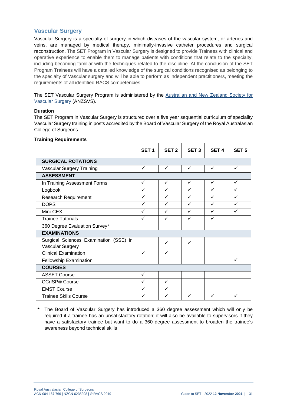# <span id="page-31-0"></span>**Vascular Surgery**

Vascular Surgery is a specialty of surgery in which diseases of the vascular system, or arteries and veins, are managed by medical therapy, minimally-invasive catheter procedures and surgical reconstruction. The SET Program in Vascular Surgery is designed to provide Trainees with clinical and operative experience to enable them to manage patients with conditions that relate to the specialty, including becoming familiar with the techniques related to the discipline. At the conclusion of the SET Program Trainees will have a detailed knowledge of the surgical conditions recognised as belonging to the specialty of Vascular surgery and will be able to perform as independent practitioners, meeting the requirements of all identified RACS competencies.

The SET Vascular Surgery Program is administered by the [Australian and New Zealand Society for](http://www.anzsvs.org.au/)  [Vascular Surgery](http://www.anzsvs.org.au/) (ANZSVS).

#### **Duration**

The SET Program in Vascular Surgery is structured over a five year sequential curriculum of speciality Vascular Surgery training in posts accredited by the Board of Vascular Surgery of the Royal Australasian College of Surgeons.

|                                                            | SET <sub>1</sub> | SET <sub>2</sub> | SET <sub>3</sub> | SET <sub>4</sub> | SET <sub>5</sub> |
|------------------------------------------------------------|------------------|------------------|------------------|------------------|------------------|
| <b>SURGICAL ROTATIONS</b>                                  |                  |                  |                  |                  |                  |
| Vascular Surgery Training                                  | $\checkmark$     | $\checkmark$     | $\checkmark$     | $\checkmark$     | $\checkmark$     |
| <b>ASSESSMENT</b>                                          |                  |                  |                  |                  |                  |
| In Training Assessment Forms                               | $\checkmark$     | $\checkmark$     | $\checkmark$     | $\checkmark$     | $\checkmark$     |
| Logbook                                                    | ✓                | $\checkmark$     | $\checkmark$     | $\checkmark$     | $\checkmark$     |
| <b>Research Requirement</b>                                | $\checkmark$     | $\checkmark$     | $\checkmark$     | $\checkmark$     | $\checkmark$     |
| <b>DOPS</b>                                                | ✓                | $\checkmark$     | ✓                | ✓                | $\checkmark$     |
| Mini-CEX                                                   | $\checkmark$     | $\checkmark$     | $\checkmark$     | $\checkmark$     | $\checkmark$     |
| <b>Trainee Tutorials</b>                                   | ✓                | ✓                | $\checkmark$     | $\checkmark$     |                  |
| 360 Degree Evaluation Survey*                              |                  |                  |                  |                  |                  |
| <b>EXAMINATIONS</b>                                        |                  |                  |                  |                  |                  |
| Surgical Sciences Examination (SSE) in<br>Vascular Surgery |                  | ✓                | $\checkmark$     |                  |                  |
| <b>Clinical Examination</b>                                | $\checkmark$     | $\checkmark$     |                  |                  |                  |
| Fellowship Examination                                     |                  |                  |                  |                  | ✓                |
| <b>COURSES</b>                                             |                  |                  |                  |                  |                  |
| <b>ASSET Course</b>                                        | $\checkmark$     |                  |                  |                  |                  |
| <b>CCrISP® Course</b>                                      | $\checkmark$     | $\checkmark$     |                  |                  |                  |
| <b>EMST Course</b>                                         | ✓                | $\checkmark$     |                  |                  |                  |
| <b>Trainee Skills Course</b>                               | ✓                | ✓                | ✓                | ✓                | ✓                |

#### **Training Requirements**

**\*** The Board of Vascular Surgery has introduced a 360 degree assessment which will only be required if a trainee has an unsatisfactory rotation; it will also be available to supervisors if they have a satisfactory trainee but want to do a 360 degree assessment to broaden the trainee's awareness beyond technical skills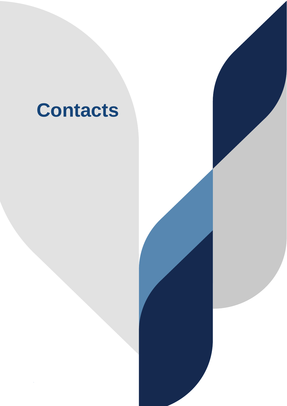# **Contacts**

ACN 004 167 766 | NZCN 6235298 | © RACS 2019 Guide to SET - 2022 **12 November 2021** | 32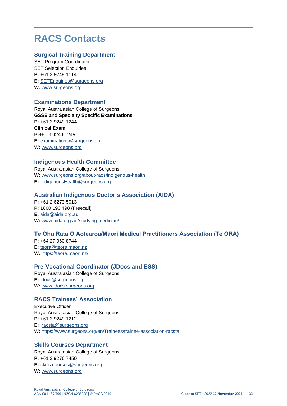# <span id="page-33-0"></span>**RACS Contacts**

# **Surgical Training Department**

SET Program Coordinator SET Selection Enquiries **P:** +61 3 9249 1114 **E:** [SETEnquiries@surgeons.org](mailto:SETEnquiries@surgeons.org) **W:** [www.surgeons.org](http://www.surgeons.org/)

# **Examinations Department**

Royal Australasian College of Surgeons **GSSE and Specialty Specific Examinations P:** +61 3 9249 1244 **Clinical Exam P:**+61 3 9249 1245 **E:** [examinations@surgeons.org](mailto:examinations@surgeons.org) **W:** [www.surgeons.org](https://www.surgeons.org/Examinations)

# **Indigenous Health Committee**

Royal Australasian College of Surgeons **W:** [www.surgeons.org/about-racs/indigenous-health](http://www.surgeons.org/about-racs/indigenous-health) **E:** [IndigenousHealth@surgeons.org](mailto:IndigenousHealth@surgeons.org)

## **Australian Indigenous Doctor's Association (AIDA)**

**P:** +61 2 6273 5013 **P:** 1800 190 498 (Freecall) **E:** [aida@aida.org.au](mailto:aida@aida.org.au) **W:** [www.aida.org.au/studying-medicine/](http://www.aida.org.au/studying-medicine/)

# **Te Ohu Rata O Aotearoa/Māori Medical Practitioners Association (Te ORA)**

**P:** +64 27 960 8744 **E:** [teora@teora.maori.nz](mailto:teora@teora.maori.nz) **W:** <https://teora.maori.nz/>

# **Pre-Vocational Coordinator (JDocs and ESS)**

Royal Australasian College of Surgeons **E:** [jdocs@surgeons.org](mailto:jdocs@surgeons.org) **W:** [www.jdocs.surgeons.org](http://www.jdocs.surgeons.org/)

# **RACS Trainees' Association**

Executive Officer Royal Australasian College of Surgeons **P:** +61 3 9249 1212 **E:** [racsta@surgeons.org](mailto:racsta@surgeons.org) **W:** <https://www.surgeons.org/en/Trainees/trainee-association-racsta>

# **Skills Courses Department**

Royal Australasian College of Surgeons **P:** +61 3 9276 7450 **E:** [skills.courses@surgeons.org](mailto:skills.courses@surgeons.org) **W:** [www.surgeons.org](https://www.surgeons.org/Education/skills-training-courses)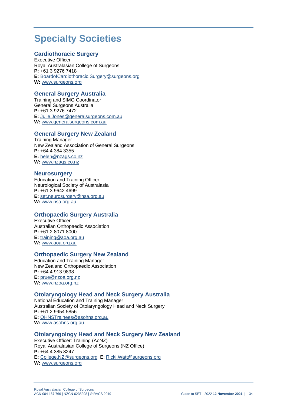# <span id="page-34-0"></span>**Specialty Societies**

# **Cardiothoracic Surgery**

Executive Officer Royal Australasian College of Surgeons **P:** +61 3 9276 7418 **E:** [BoardofCardiothoracic.Surgery@surgeons.org](mailto:BoardofCardiothoracic.Surgery@surgeons.org) **W:** [www.surgeons.org](https://www.surgeons.org/Trainees/surgical-specialties/cardiothoracic-surgery)

## **General Surgery Australia**

Training and SIMG Coordinator General Surgeons Australia **P:** +61 3 9276 7472 **E:** [Julie.Jones@generalsurgeons.com.au](mailto:Julie.Jones@generalsurgeons.com.au) **W:** [www.generalsurgeons.com.au](http://www.generalsurgeons.com.au/)

# **General Surgery New Zealand**

Training Manager New Zealand Association of General Surgeons **P:** +64 4 384 3355 **E:** [helen@nzags.co.nz](mailto:helen@nzags.co.nz) **W:** [www.nzags.co.nz](http://www.nzags.co.nz/)

#### **Neurosurgery**

Education and Training Officer Neurological Society of Australasia **P:** +61 3 9642 4699 **E:** [set.neurosurgery@nsa.org.au](mailto:set.neurosurgery@nsa.org.au) **W:** [www.nsa.org.au](http://www.nsa.org.au/)

# **Orthopaedic Surgery Australia**

Executive Officer Australian Orthopaedic Association **P:** +61 2 8071 8000 **E:** [training@aoa.org.au](mailto:training@aoa.org.au) **W:** [www.aoa.org.au](http://www.aoa.org.au/)

#### **Orthopaedic Surgery New Zealand**

Education and Training Manager New Zealand Orthopaedic Association **P:** +64 4 913 9898 **E:** [prue@nzoa.org.nz](mailto:prue@nzoa.org.nz) **W:** [www.nzoa.org.nz](http://www.nzoa.org.nz/)

#### **Otolaryngology Head and Neck Surgery Australia**

National Education and Training Manager Australian Society of Otolaryngology Head and Neck Surgery **P:** +61 2 9954 5856 **E:** [OHNSTrainees@asohns.org.au](mailto:OHNSTrainees@asohns.org.au) **W:** [www.asohns.org.au](http://www.asohns.org.au/)

#### **Otolaryngology Head and Neck Surgery New Zealand**

Executive Officer: Training (AoNZ) Royal Australasian College of Surgeons (NZ Office) **P:** +64 4 385 8247 **E:** [College.NZ@surgeons.org](mailto:College.NZ@surgeons.org) **E**: [Ricki.Watt@surgeons.org](mailto:Ricki.Watt@surgeons.org) **W:** [www.surgeons.org](https://www.surgeons.org/Trainees/surgical-specialties/otolaryngology-head-and-neck-surgery)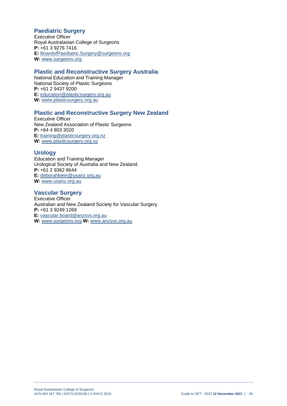# **Paediatric Surgery**

Executive Officer Royal Australasian College of Surgeons **P:** +61 3 9276 7416 **E:** [BoardofPaediatric.Surgery@surgeons.org](mailto:BoardofPaediatric.Surgery@surgeons.org) **W:** [www.surgeons.org](https://www.surgeons.org/Trainees/surgical-specialties/paediatric-surgery)

## **Plastic and Reconstructive Surgery Australia**

National Education and Training Manager National Society of Plastic Surgeons **P:** +61 2 9437 9200 **E:** [education@plasticsurgery.org.au](mailto:education@plasticsurgery.org.au) **W:** [www.plasticsurgery.org.au](http://www.plasticsurgery.org.au/)

## **Plastic and Reconstructive Surgery New Zealand**

Executive Officer New Zealand Association of Plastic Surgeons **P:** +64 4 803 3020 **E:** [training@plasticsurgery.org.nz](mailto:training@plasticsurgery.org.nz) **W:** [www.plasticsurgery.org.nz](http://www.plasticsurgery.org.nz/)

#### **Urology**

Education and Training Manager Urological Society of Australia and New Zealand **P:** +61 2 9362 8644 **E:** [deborahklein@usanz.org.au](mailto:deborahklein@usanz.org.au) **W:** [www.usanz.org.au](http://www.usanz.org.au/)

#### **Vascular Surgery**

Executive Officer Australian and New Zealand Society for Vascular Surgery **P:** +61 3 9249 1269 **E:** [vascular.board@anzsvs.org.au](mailto:vascular.board@anzsvs.org.au) **W:** [www.surgeons.org](https://www.surgeons.org/Trainees/surgical-specialties/vascular-surgery) **W:** [www.anzsvs.org.au](https://www.anzsvs.org.au/education-training/)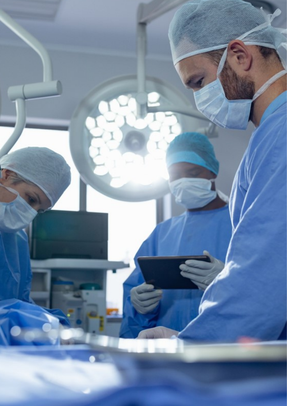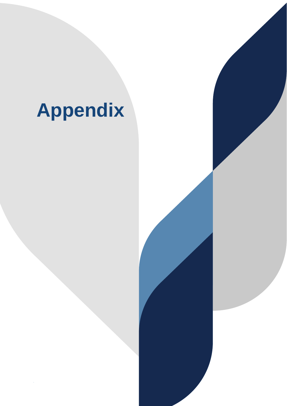# **Appendix**

ACN 004 167 766 | NZCN 6235298 | © RACS 2019 Guide to SET - 2022 **12 November 2021** | 37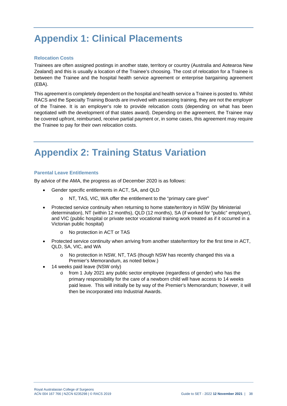# <span id="page-38-0"></span>**Appendix 1: Clinical Placements**

#### <span id="page-38-1"></span>**Relocation Costs**

Trainees are often assigned postings in another state, territory or country (Australia and Aotearoa New Zealand) and this is usually a location of the Trainee's choosing. The cost of relocation for a Trainee is between the Trainee and the hospital health service agreement or enterprise bargaining agreement (EBA).

This agreement is completely dependent on the hospital and health service a Trainee is posted to. Whilst RACS and the Specialty Training Boards are involved with assessing training, they are not the employer of the Trainee. It is an employer's role to provide relocation costs (depending on what has been negotiated with the development of that states award). Depending on the agreement, the Trainee may be covered upfront, reimbursed, receive partial payment or, in some cases, this agreement may require the Trainee to pay for their own relocation costs.

# <span id="page-38-2"></span>**Appendix 2: Training Status Variation**

#### <span id="page-38-3"></span>**Parental Leave Entitlements**

By advice of the AMA, the progress as of December 2020 is as follows:

- Gender specific entitlements in ACT, SA, and QLD
	- o NT, TAS, VIC, WA offer the entitlement to the "primary care giver"
- Protected service continuity when returning to home state/territory in NSW (by Ministerial determination), NT (within 12 months), QLD (12 months), SA (if worked for "public" employer), and VIC (public hospital or private sector vocational training work treated as if it occurred in a Victorian public hospital)
	- No protection in ACT or TAS
- Protected service continuity when arriving from another state/territory for the first time in ACT, QLD, SA, VIC, and WA
	- o No protection in NSW, NT, TAS (though NSW has recently changed this via a Premier's Memorandum, as noted below.)
- 14 weeks paid leave (NSW only)
	- o from 1 July 2021 any public sector employee (regardless of gender) who has the primary responsibility for the care of a newborn child will have access to 14 weeks paid leave. This will initially be by way of the Premier's Memorandum; however, it will then be incorporated into Industrial Awards.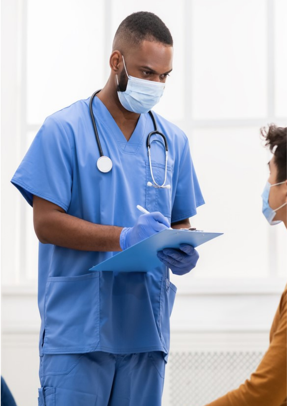